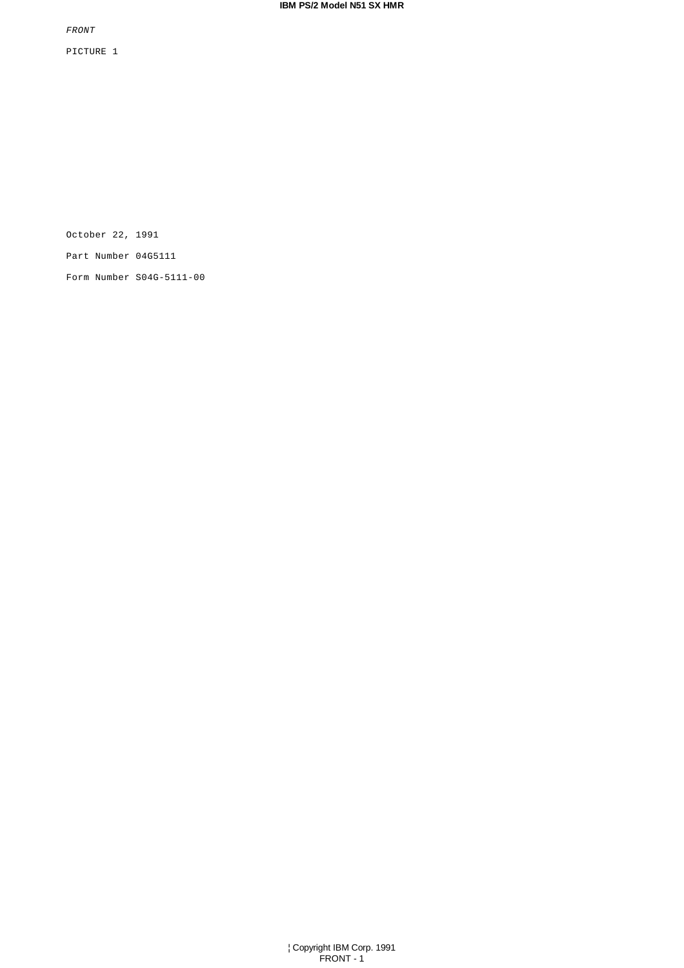FRONT

PICTURE 1

October 22, 1991

Part Number 04G5111

Form Number S04G-5111-00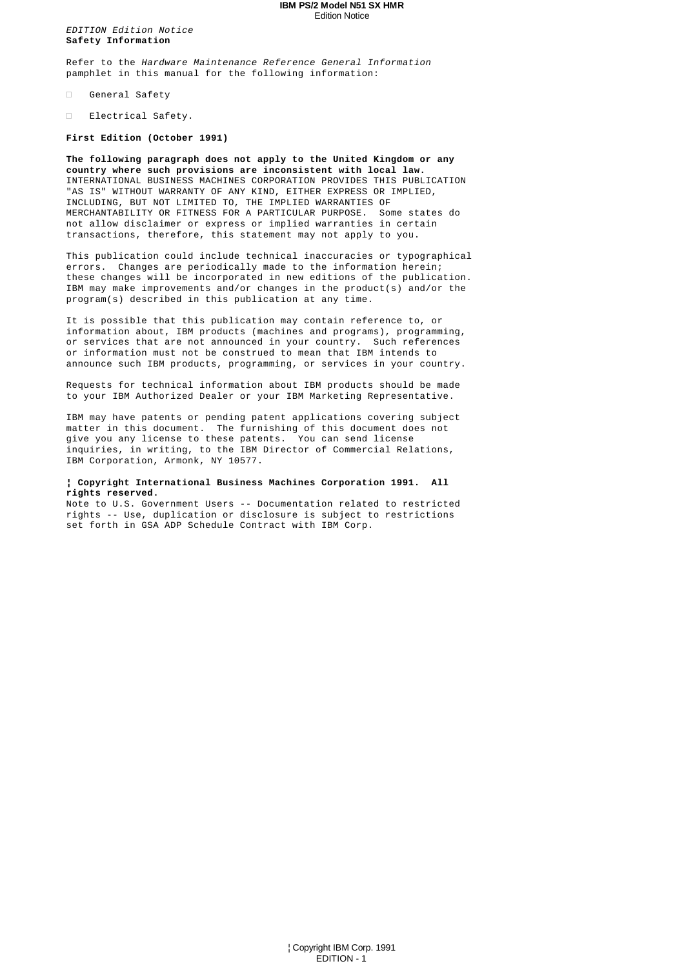#### **IBM PS/2 Model N51 SX HMR** Edition Notice

EDITION Edition Notice **Safety Information**

Refer to the Hardware Maintenance Reference General Information pamphlet in this manual for the following information:

General Safety

Electrical Safety.

**First Edition (October 1991)**

**The following paragraph does not apply to the United Kingdom or any country where such provisions are inconsistent with local law.** INTERNATIONAL BUSINESS MACHINES CORPORATION PROVIDES THIS PUBLICATION "AS IS" WITHOUT WARRANTY OF ANY KIND, EITHER EXPRESS OR IMPLIED, INCLUDING, BUT NOT LIMITED TO, THE IMPLIED WARRANTIES OF MERCHANTABILITY OR FITNESS FOR A PARTICULAR PURPOSE. Some states do not allow disclaimer or express or implied warranties in certain transactions, therefore, this statement may not apply to you.

This publication could include technical inaccuracies or typographical errors. Changes are periodically made to the information herein; these changes will be incorporated in new editions of the publication. IBM may make improvements and/or changes in the product(s) and/or the program(s) described in this publication at any time.

It is possible that this publication may contain reference to, or information about, IBM products (machines and programs), programming, or services that are not announced in your country. Such references or information must not be construed to mean that IBM intends to announce such IBM products, programming, or services in your country.

Requests for technical information about IBM products should be made to your IBM Authorized Dealer or your IBM Marketing Representative.

IBM may have patents or pending patent applications covering subject matter in this document. The furnishing of this document does not give you any license to these patents. You can send license inquiries, in writing, to the IBM Director of Commercial Relations, IBM Corporation, Armonk, NY 10577.

## **¦ Copyright International Business Machines Corporation 1991. All rights reserved.**

Note to U.S. Government Users -- Documentation related to restricted rights -- Use, duplication or disclosure is subject to restrictions set forth in GSA ADP Schedule Contract with IBM Corp.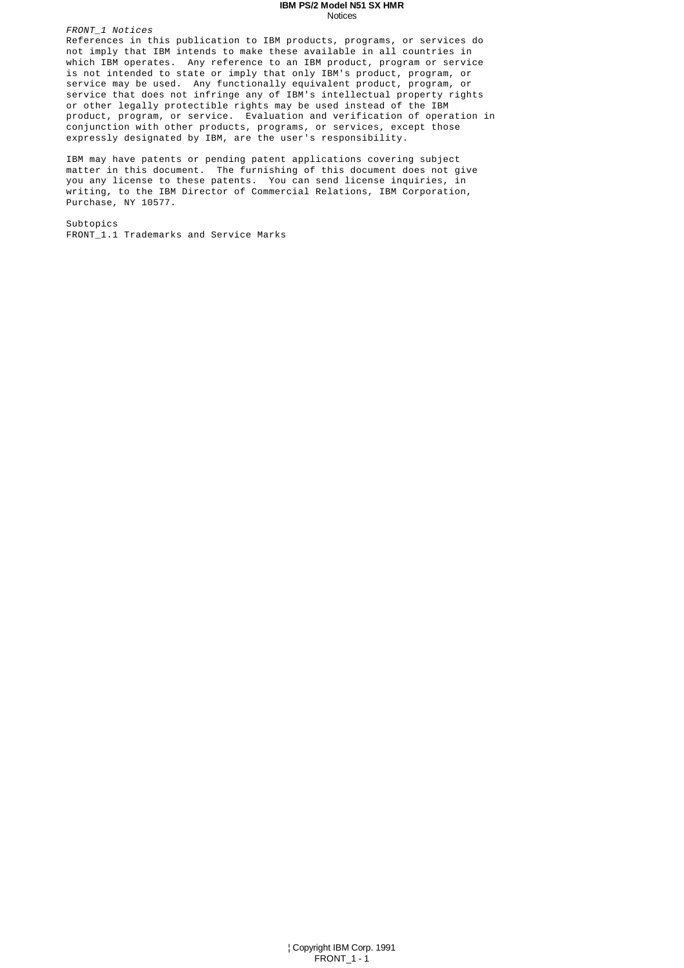#### **IBM PS/2 Model N51 SX HMR** Notices

FRONT\_1 Notices References in this publication to IBM products, programs, or services do not imply that IBM intends to make these available in all countries in which IBM operates. Any reference to an IBM product, program or service is not intended to state or imply that only IBM's product, program, or service may be used. Any functionally equivalent product, program, or service that does not infringe any of IBM's intellectual property rights or other legally protectible rights may be used instead of the IBM product, program, or service. Evaluation and verification of operation in conjunction with other products, programs, or services, except those expressly designated by IBM, are the user's responsibility.

IBM may have patents or pending patent applications covering subject matter in this document. The furnishing of this document does not give you any license to these patents. You can send license inquiries, in writing, to the IBM Director of Commercial Relations, IBM Corporation, Purchase, NY 10577.

Subtopics FRONT\_1.1 Trademarks and Service Marks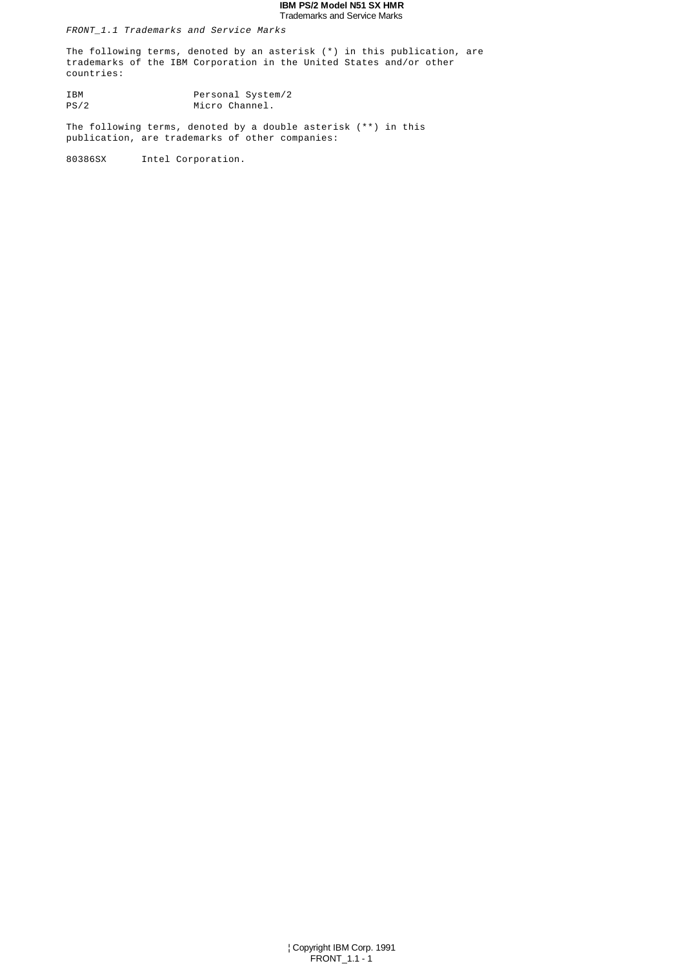#### **IBM PS/2 Model N51 SX HMR** Trademarks and Service Marks

FRONT\_1.1 Trademarks and Service Marks

The following terms, denoted by an asterisk (\*) in this publication, are trademarks of the IBM Corporation in the United States and/or other countries:

IBM Personal System/2<br>PS/2 Micro Channel. Micro Channel.

The following terms, denoted by a double asterisk (\*\*) in this publication, are trademarks of other companies:

80386SX Intel Corporation.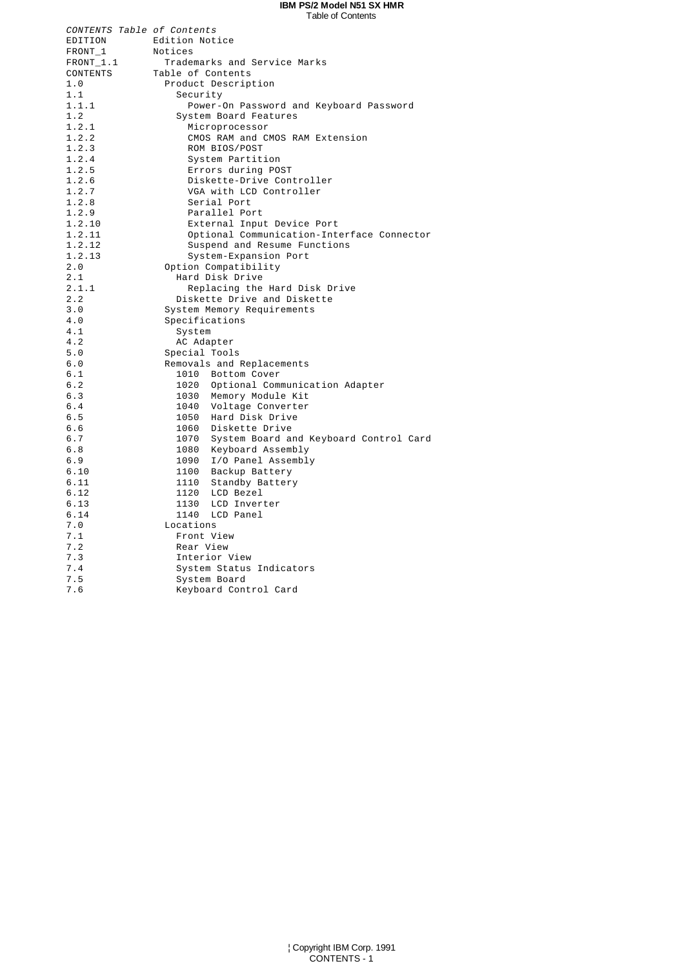#### **IBM PS/2 Model N51 SX HMR** Table of Contents

| CONTENTS Table of Contents |                                             |
|----------------------------|---------------------------------------------|
| EDITION                    | Edition Notice                              |
| FRONT_1                    | Notices                                     |
| FRONT_1.1                  | Trademarks and Service Marks                |
| CONTENTS                   | Table of Contents                           |
| 1.0                        | Product Description                         |
| 1.1                        | Security                                    |
| 1.1.1                      | Power-On Password and Keyboard Password     |
| 1.2                        | System Board Features                       |
| 1.2.1                      | Microprocessor                              |
| 1.2.2                      | CMOS RAM and CMOS RAM Extension             |
| 1.2.3                      | ROM BIOS/POST                               |
| 1.2.4                      | System Partition                            |
| 1.2.5                      | Errors during POST                          |
| 1.2.6                      | Diskette-Drive Controller                   |
| 1.2.7                      | VGA with LCD Controller                     |
| 1.2.8                      | Serial Port                                 |
| 1.2.9                      | Parallel Port                               |
| 1.2.10                     | External Input Device Port                  |
| 1.2.11                     | Optional Communication-Interface Connector  |
| 1.2.12                     | Suspend and Resume Functions                |
| 1.2.13                     | System-Expansion Port                       |
| 2.0                        | Option Compatibility                        |
| 2.1                        | Hard Disk Drive                             |
| 2.1.1                      | Replacing the Hard Disk Drive               |
| 2.2                        | Diskette Drive and Diskette                 |
| 3.0                        | System Memory Requirements                  |
| 4.0                        | Specifications                              |
| 4.1                        | System                                      |
| 4.2                        | AC Adapter                                  |
| 5.0                        | Special Tools                               |
| 6.0                        | Removals and Replacements                   |
| 6.1                        | 1010 Bottom Cover                           |
| 6.2                        | 1020 Optional Communication Adapter         |
| 6.3                        | 1030 Memory Module Kit                      |
| 6.4                        | 1040 Voltage Converter                      |
| 6.5                        | 1050 Hard Disk Drive                        |
| 6.6                        | 1060 Diskette Drive                         |
| 6.7                        | 1070 System Board and Keyboard Control Card |
| 6.8                        | 1080 Keyboard Assembly                      |
| $6.9$                      | 1090 I/O Panel Assembly                     |
| 6.10                       | 1100<br>Backup Battery                      |
| 6.11                       | 1110 Standby Battery                        |
| 6.12                       | 1120 LCD Bezel                              |
| 6.13                       | 1130 LCD Inverter                           |
| 6.14                       | 1140 LCD Panel                              |
| 7.0                        | Locations                                   |
| 7.1                        | Front View                                  |
| 7.2                        | Rear View                                   |
| 7.3                        | Interior View                               |
| 7.4                        | System Status Indicators                    |
| 7.5                        | System Board                                |
| 7.6                        | Keyboard Control Card                       |
|                            |                                             |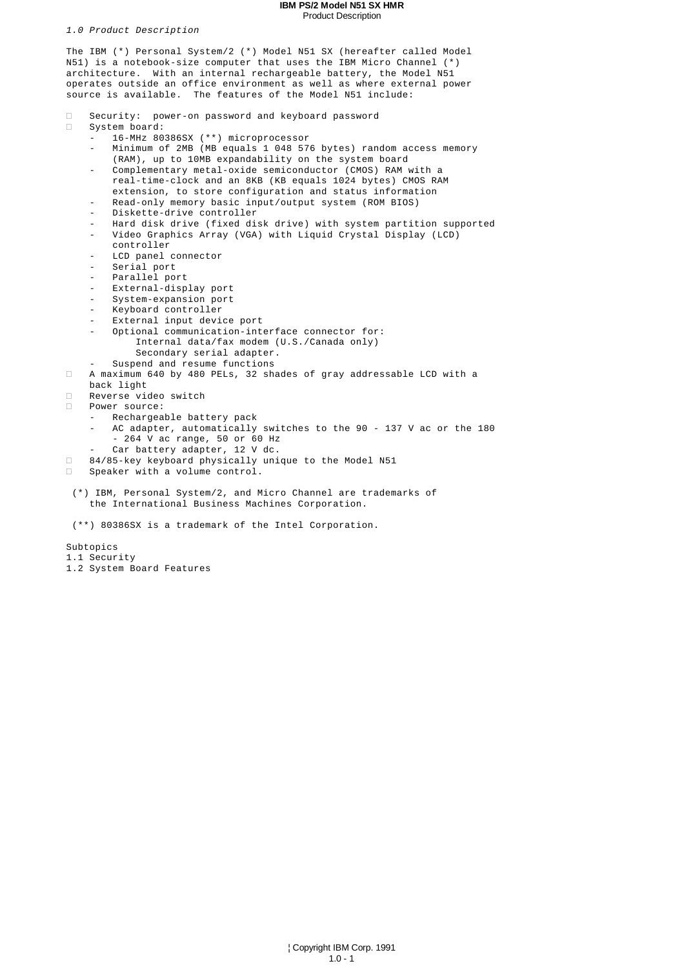#### **IBM PS/2 Model N51 SX HMR** Product Description

1.0 Product Description

The IBM (\*) Personal System/2 (\*) Model N51 SX (hereafter called Model N51) is a notebook-size computer that uses the IBM Micro Channel (\*) architecture. With an internal rechargeable battery, the Model N51 operates outside an office environment as well as where external power source is available. The features of the Model N51 include: Security: power-on password and keyboard password System board: - 16-MHz 80386SX (\*\*) microprocessor - Minimum of 2MB (MB equals 1 048 576 bytes) random access memory (RAM), up to 10MB expandability on the system board - Complementary metal-oxide semiconductor (CMOS) RAM with a real-time-clock and an 8KB (KB equals 1024 bytes) CMOS RAM extension, to store configuration and status information Read-only memory basic input/output system (ROM BIOS) Diskette-drive controller - Hard disk drive (fixed disk drive) with system partition supported - Video Graphics Array (VGA) with Liquid Crystal Display (LCD) controller - LCD panel connector Serial port - Parallel port External-display port - System-expansion port - Keyboard controller - External input device port Optional communication-interface connector for: Internal data/fax modem (U.S./Canada only) Secondary serial adapter. Suspend and resume functions A maximum 640 by 480 PELs, 32 shades of gray addressable LCD with a back light Reverse video switch Power source: Rechargeable battery pack AC adapter, automatically switches to the 90 - 137 V ac or the 180 - 264 V ac range, 50 or 60 Hz Car battery adapter, 12 V dc. 84/85-key keyboard physically unique to the Model N51 Speaker with a volume control. (\*) IBM, Personal System/2, and Micro Channel are trademarks of the International Business Machines Corporation. (\*\*) 80386SX is a trademark of the Intel Corporation. Subtopics 1.1 Security

1.2 System Board Features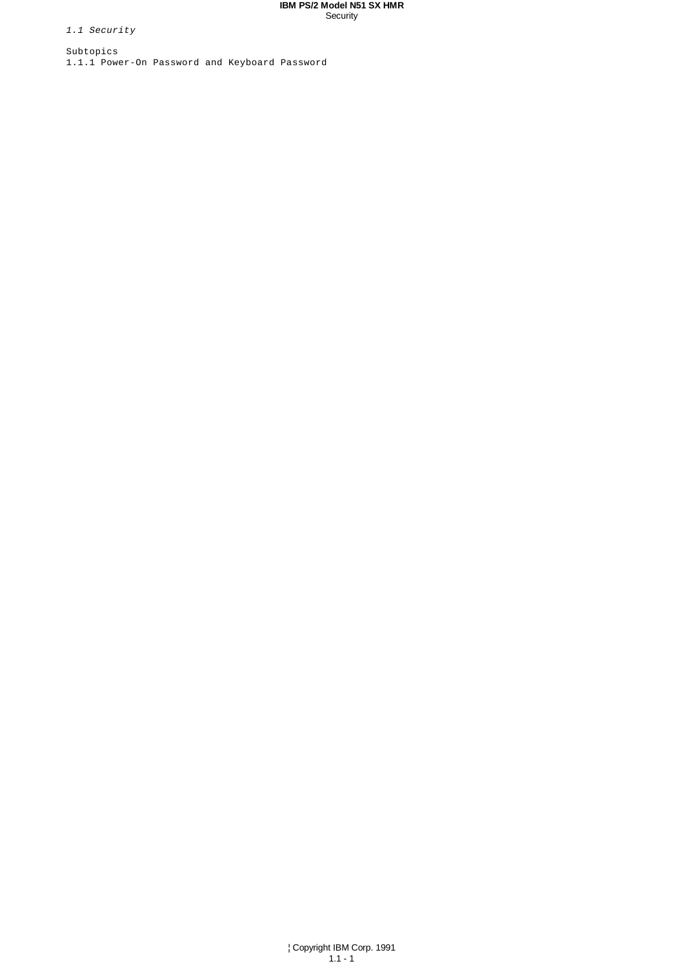#### **IBM PS/2 Model N51 SX HMR Security**

1.1 Security

Subtopics 1.1.1 Power-On Password and Keyboard Password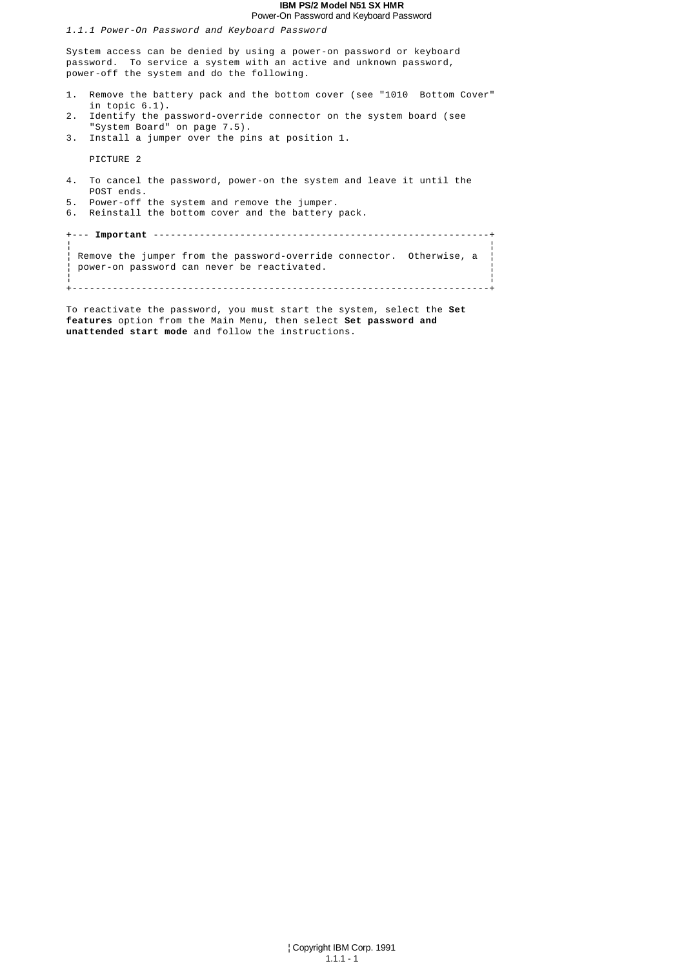#### **IBM PS/2 Model N51 SX HMR** Power-On Password and Keyboard Password

1.1.1 Power-On Password and Keyboard Password

System access can be denied by using a power-on password or keyboard password. To service a system with an active and unknown password, power-off the system and do the following.

- 1. Remove the battery pack and the bottom cover (see "1010 Bottom Cover" in topic 6.1).
- 2. Identify the password-override connector on the system board (see "System Board" on page 7.5). 3. Install a jumper over the pins at position 1.

PICTURE 2

- 4. To cancel the password, power-on the system and leave it until the POST ends.
- 5. Power-off the system and remove the jumper. 6. Reinstall the bottom cover and the battery pack.

+--- **Important** ----------------------------------------------------------+ ¦ ¦ ¦ Remove the jumper from the password-override connector. Otherwise, a ¦ ¦ power-on password can never be reactivated. ¦ ¦ ¦ +------------------------------------------------------------------------+

To reactivate the password, you must start the system, select the **Set features** option from the Main Menu, then select **Set password and unattended start mode** and follow the instructions.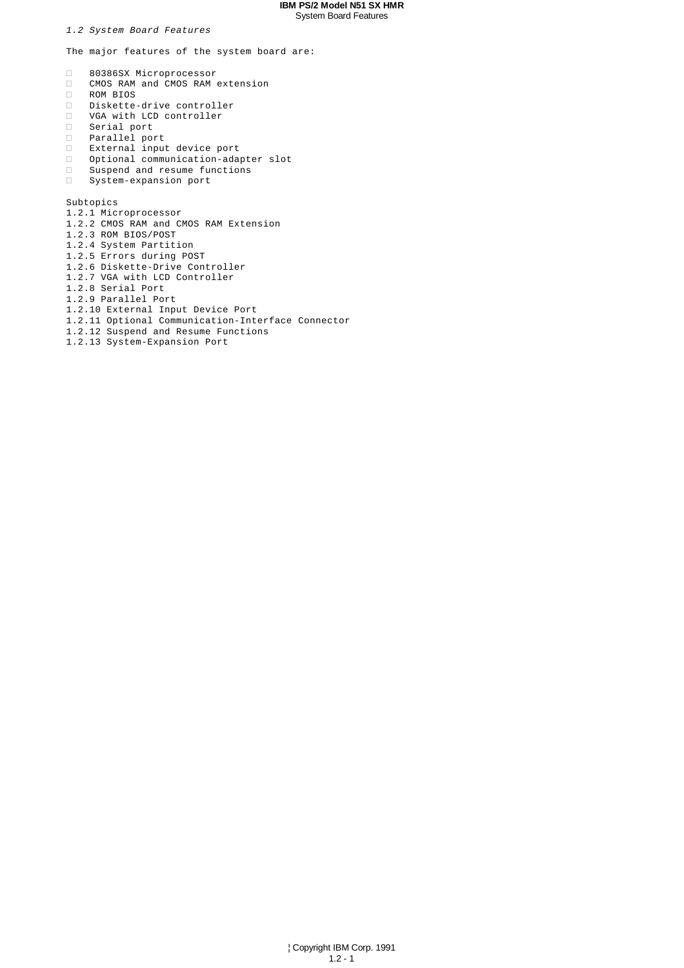## **IBM PS/2 Model N51 SX HMR** System Board Features

1.2 System Board Features

The major features of the system board are:

 80386SX Microprocessor CMOS RAM and CMOS RAM extension ROM BIOS Diskette-drive controller VGA with LCD controller Serial port Parallel port External input device port Optional communication-adapter slot Suspend and resume functions System-expansion port

Subtopics

- 1.2.1 Microprocessor 1.2.2 CMOS RAM and CMOS RAM Extension 1.2.3 ROM BIOS/POST 1.2.4 System Partition 1.2.5 Errors during POST 1.2.6 Diskette-Drive Controller 1.2.7 VGA with LCD Controller 1.2.8 Serial Port 1.2.9 Parallel Port 1.2.10 External Input Device Port 1.2.11 Optional Communication-Interface Connector 1.2.12 Suspend and Resume Functions
- 1.2.13 System-Expansion Port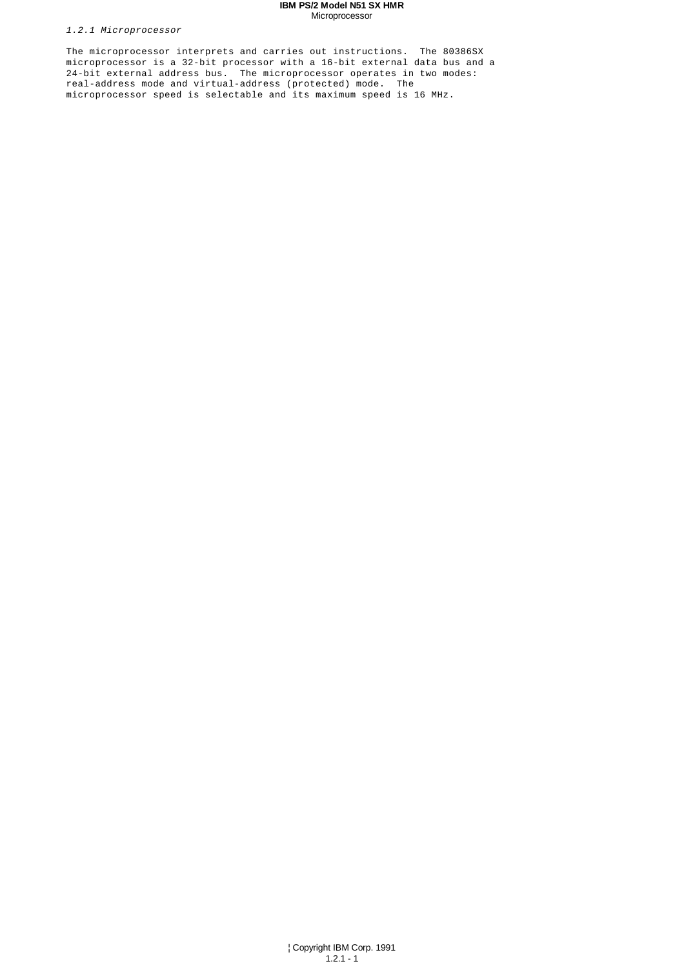#### **IBM PS/2 Model N51 SX HMR** Microprocessor

1.2.1 Microprocessor

The microprocessor interprets and carries out instructions. The 80386SX microprocessor is a 32-bit processor with a 16-bit external data bus and a 24-bit external address bus. The microprocessor operates in two modes: real-address mode and virtual-address (protected) mode. The microprocessor speed is selectable and its maximum speed is 16 MHz.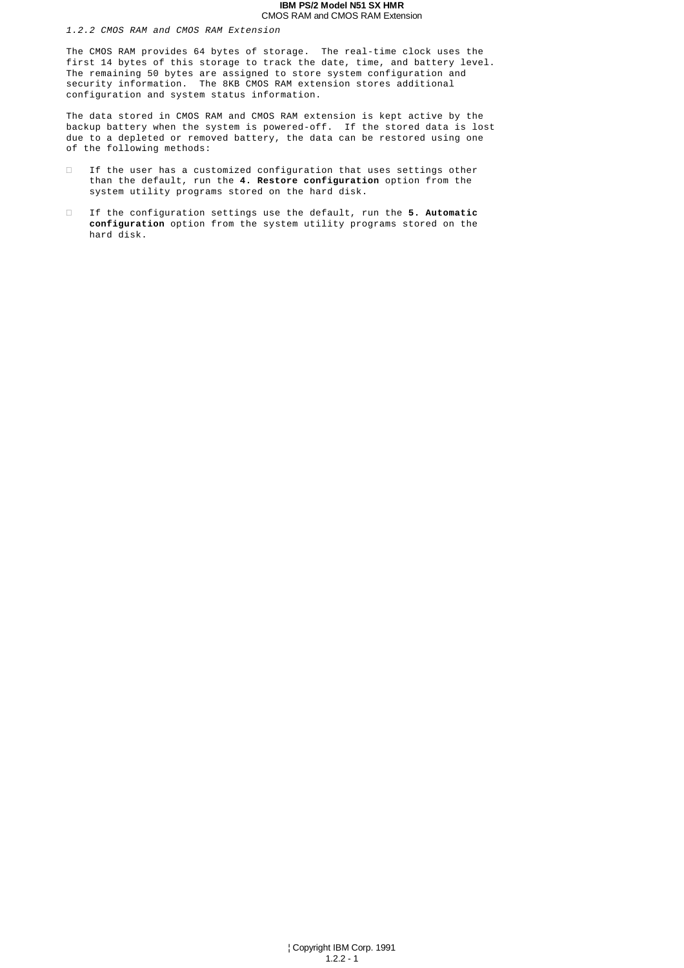#### **IBM PS/2 Model N51 SX HMR** CMOS RAM and CMOS RAM Extension

1.2.2 CMOS RAM and CMOS RAM Extension

The CMOS RAM provides 64 bytes of storage. The real-time clock uses the first 14 bytes of this storage to track the date, time, and battery level. The remaining 50 bytes are assigned to store system configuration and security information. The 8KB CMOS RAM extension stores additional configuration and system status information.

The data stored in CMOS RAM and CMOS RAM extension is kept active by the backup battery when the system is powered-off. If the stored data is lost due to a depleted or removed battery, the data can be restored using one of the following methods:

 If the user has a customized configuration that uses settings other than the default, run the **4. Restore configuration** option from the system utility programs stored on the hard disk.

 If the configuration settings use the default, run the **5. Automatic configuration** option from the system utility programs stored on the hard disk.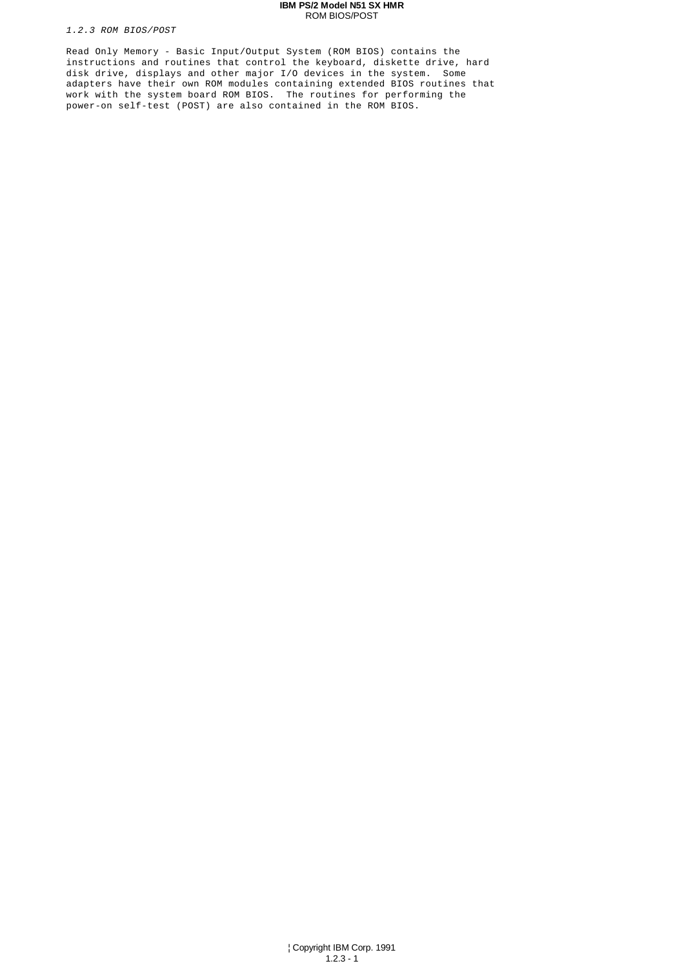#### **IBM PS/2 Model N51 SX HMR** ROM BIOS/POST

1.2.3 ROM BIOS/POST

Read Only Memory - Basic Input/Output System (ROM BIOS) contains the instructions and routines that control the keyboard, diskette drive, hard disk drive, displays and other major I/O devices in the system. Some adapters have their own ROM modules containing extended BIOS routines that work with the system board ROM BIOS. The routines for performing the power-on self-test (POST) are also contained in the ROM BIOS.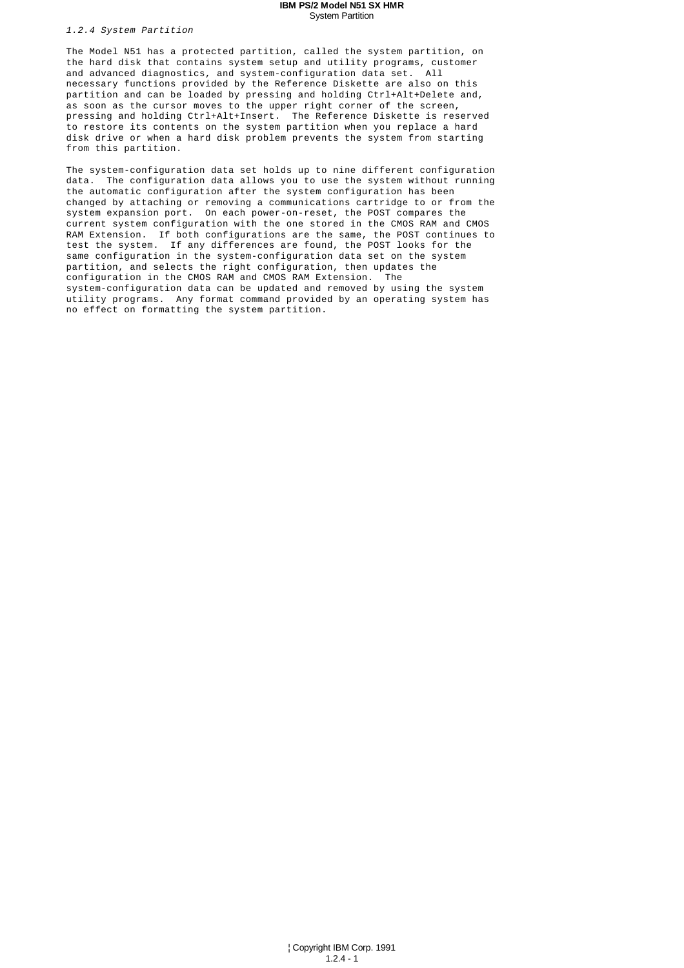#### **IBM PS/2 Model N51 SX HMR** System Partition

1.2.4 System Partition

The Model N51 has a protected partition, called the system partition, on the hard disk that contains system setup and utility programs, customer and advanced diagnostics, and system-configuration data set. All necessary functions provided by the Reference Diskette are also on this partition and can be loaded by pressing and holding Ctrl+Alt+Delete and, as soon as the cursor moves to the upper right corner of the screen, pressing and holding Ctrl+Alt+Insert. The Reference Diskette is reserved to restore its contents on the system partition when you replace a hard disk drive or when a hard disk problem prevents the system from starting from this partition.

The system-configuration data set holds up to nine different configuration data. The configuration data allows you to use the system without running the automatic configuration after the system configuration has been changed by attaching or removing a communications cartridge to or from the system expansion port. On each power-on-reset, the POST compares the current system configuration with the one stored in the CMOS RAM and CMOS RAM Extension. If both configurations are the same, the POST continues to test the system. If any differences are found, the POST looks for the same configuration in the system-configuration data set on the system partition, and selects the right configuration, then updates the configuration in the CMOS RAM and CMOS RAM Extension. The system-configuration data can be updated and removed by using the system utility programs. Any format command provided by an operating system has no effect on formatting the system partition.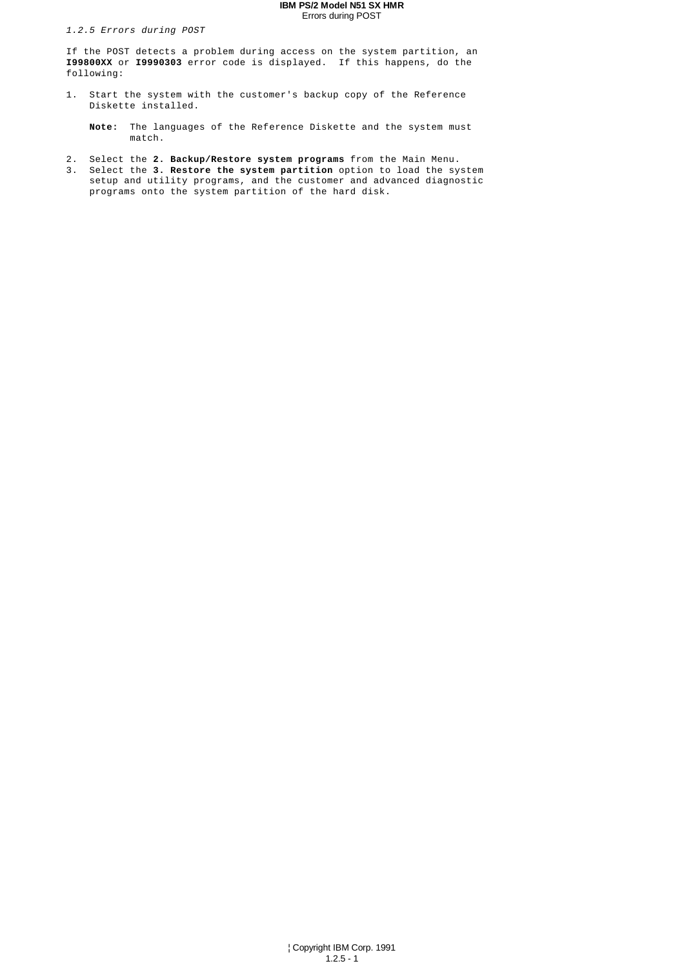## **IBM PS/2 Model N51 SX HMR** Errors during POST

1.2.5 Errors during POST

If the POST detects a problem during access on the system partition, an **I99800XX** or **I9990303** error code is displayed. If this happens, do the following:

1. Start the system with the customer's backup copy of the Reference Diskette installed.

 **Note:** The languages of the Reference Diskette and the system must match.

- 2. Select the **2. Backup/Restore system programs** from the Main Menu.
- 3. Select the **3. Restore the system partition** option to load the system setup and utility programs, and the customer and advanced diagnostic programs onto the system partition of the hard disk.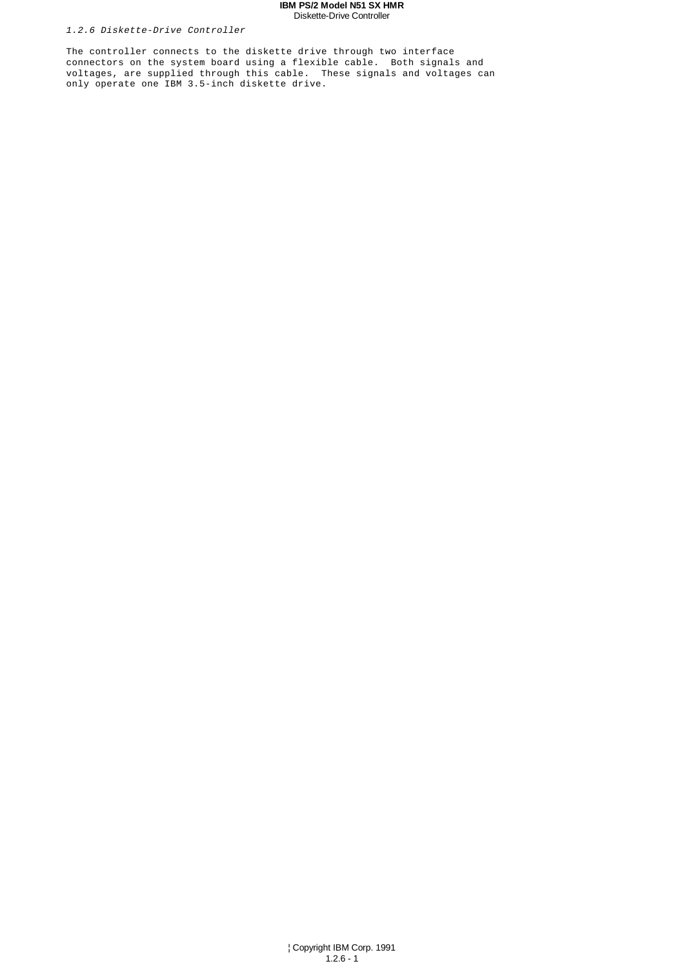#### **IBM PS/2 Model N51 SX HMR** Diskette-Drive Controller

# 1.2.6 Diskette-Drive Controller

The controller connects to the diskette drive through two interface connectors on the system board using a flexible cable. Both signals and voltages, are supplied through this cable. These signals and voltages can only operate one IBM 3.5-inch diskette drive.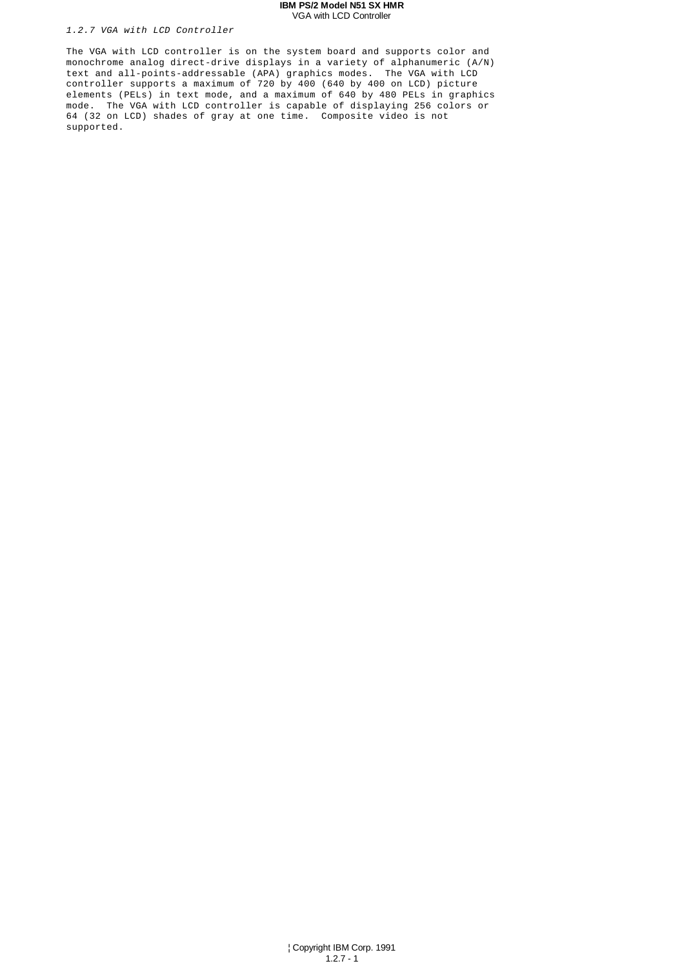#### **IBM PS/2 Model N51 SX HMR** VGA with LCD Controller

#### 1.2.7 VGA with LCD Controller

The VGA with LCD controller is on the system board and supports color and monochrome analog direct-drive displays in a variety of alphanumeric (A/N) text and all-points-addressable (APA) graphics modes. The VGA with LCD controller supports a maximum of 720 by  $\frac{400}{1640}$  (640 by 400 on LCD) picture elements (PELs) in text mode, and a maximum of 640 by 480 PELs in graphics mode. The VGA with LCD controller is capable of displaying 256 colors or 64 (32 on LCD) shades of gray at one time. Composite video is not supported.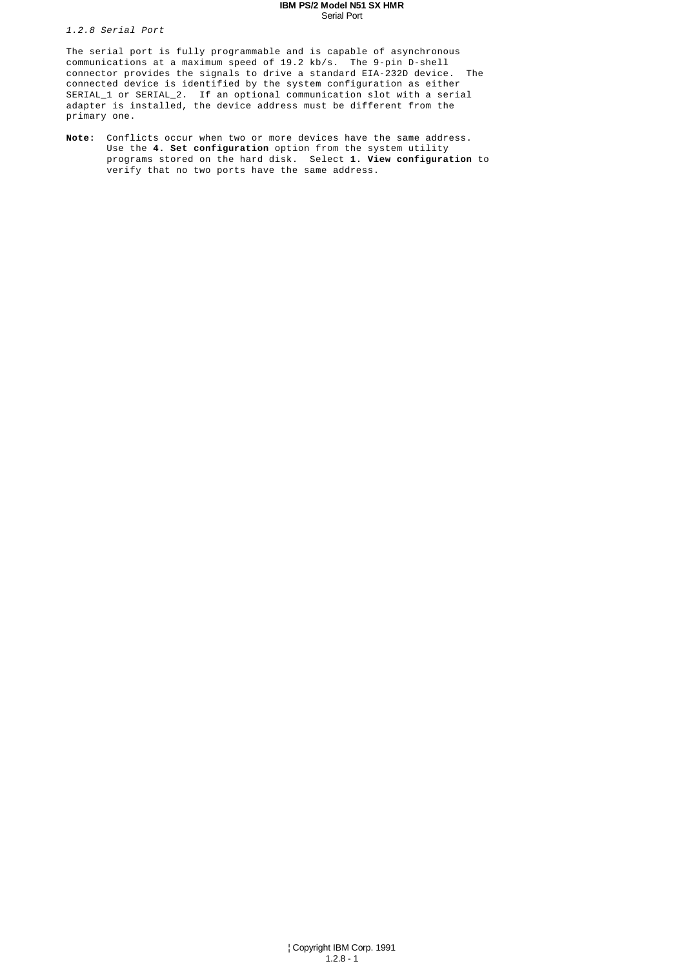#### **IBM PS/2 Model N51 SX HMR** Serial Port

1.2.8 Serial Port

The serial port is fully programmable and is capable of asynchronous communications at a maximum speed of 19.2 kb/s. The 9-pin D-shell connector provides the signals to drive a standard EIA-232D device. The connected device is identified by the system configuration as either SERIAL\_1 or SERIAL\_2. If an optional communication slot with a serial adapter is installed, the device address must be different from the primary one.

**Note:** Conflicts occur when two or more devices have the same address. Use the **4. Set configuration** option from the system utility programs stored on the hard disk. Select **1. View configuration** to verify that no two ports have the same address.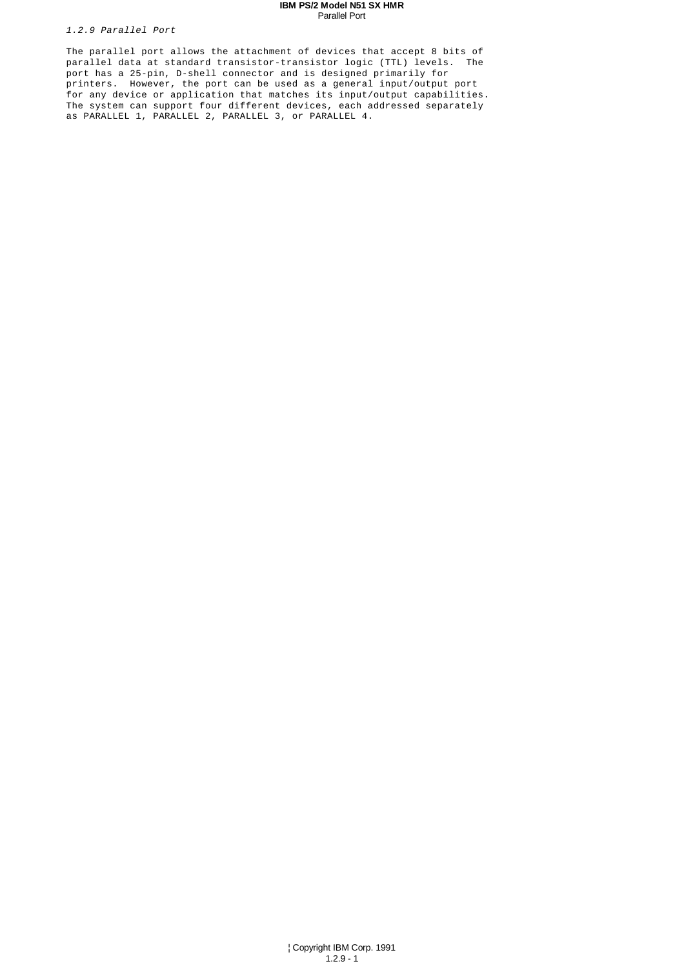#### **IBM PS/2 Model N51 SX HMR** Parallel Port

1.2.9 Parallel Port

The parallel port allows the attachment of devices that accept 8 bits of parallel data at standard transistor-transistor logic (TTL) levels. The port has a 25-pin, D-shell connector and is designed primarily for printers. However, the port can be used as a general input/output port for any device or application that matches its input/output capabilities. The system can support four different devices, each addressed separately as PARALLEL 1, PARALLEL 2, PARALLEL 3, or PARALLEL 4.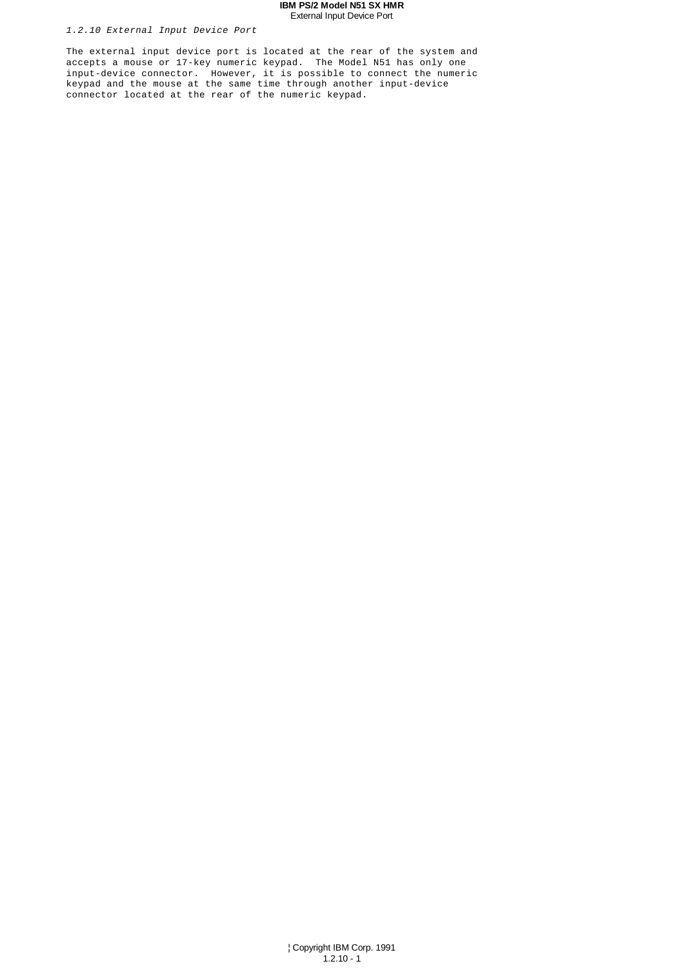## **IBM PS/2 Model N51 SX HMR** External Input Device Port

# 1.2.10 External Input Device Port

The external input device port is located at the rear of the system and accepts a mouse or 17-key numeric keypad. The Model N51 has only one input-device connector. However, it is possible to connect the numeric keypad and the mouse at the same time through another input-device connector located at the rear of the numeric keypad.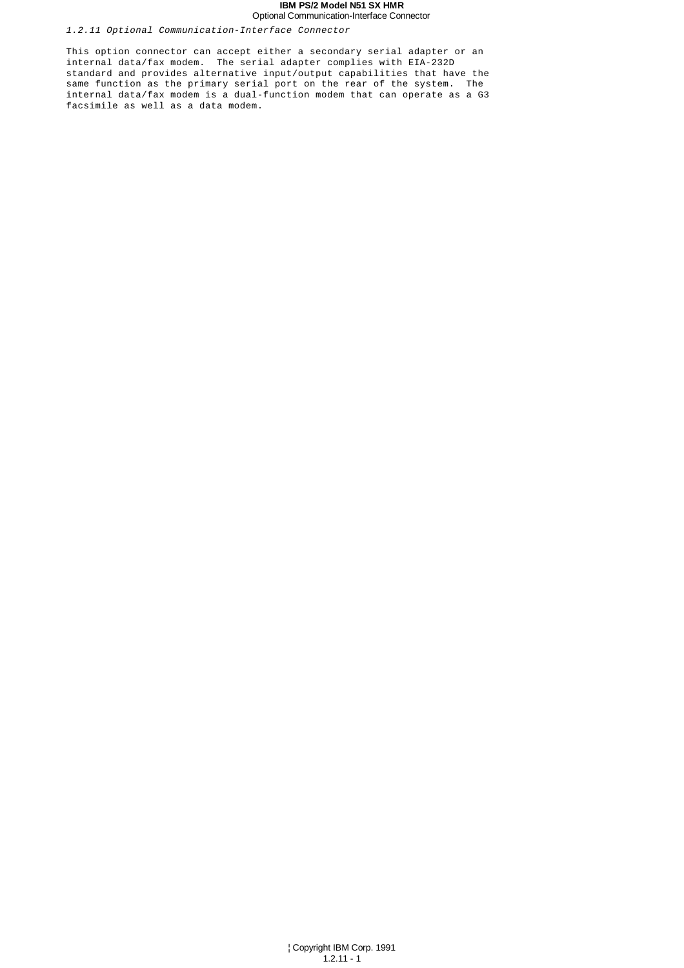#### **IBM PS/2 Model N51 SX HMR** Optional Communication-Interface Connector

1.2.11 Optional Communication-Interface Connector

This option connector can accept either a secondary serial adapter or an internal data/fax modem. The serial adapter complies with EIA-232D standard and provides alternative input/output capabilities that have the same function as the primary serial port on the rear of the system. The internal data/fax modem is a dual-function modem that can operate as a G3 facsimile as well as a data modem.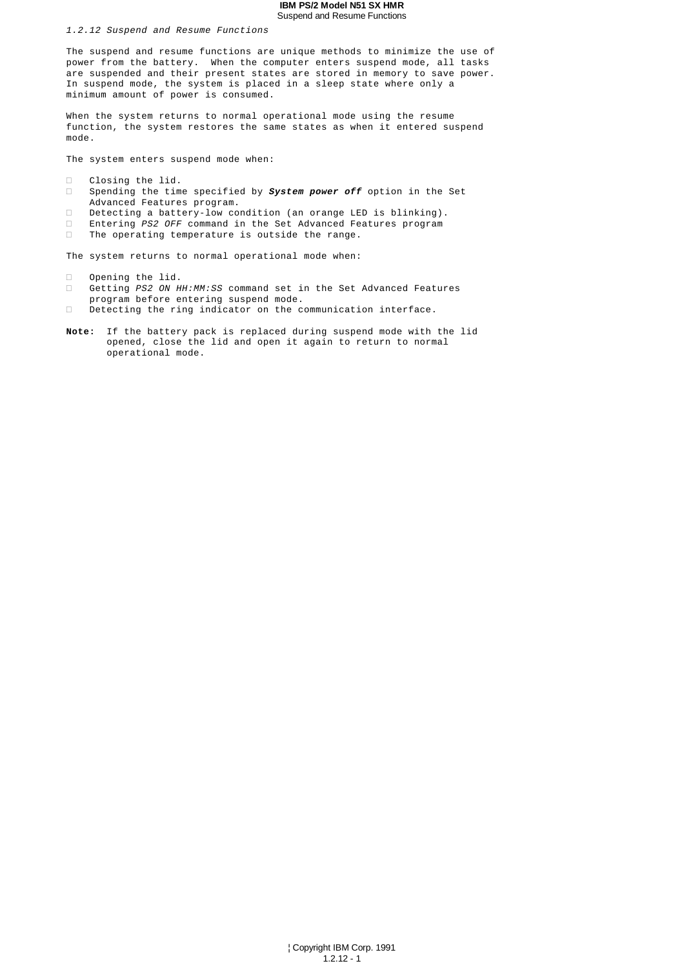#### **IBM PS/2 Model N51 SX HMR** Suspend and Resume Functions

1.2.12 Suspend and Resume Functions

The suspend and resume functions are unique methods to minimize the use of power from the battery. When the computer enters suspend mode, all tasks are suspended and their present states are stored in memory to save power. In suspend mode, the system is placed in a sleep state where only a minimum amount of power is consumed.

When the system returns to normal operational mode using the resume function, the system restores the same states as when it entered suspend mode.

The system enters suspend mode when:

 Closing the lid. Spending the time specified by **System power off** option in the Set Advanced Features program. Detecting a battery-low condition (an orange LED is blinking). Entering PS2 OFF command in the Set Advanced Features program The operating temperature is outside the range.

The system returns to normal operational mode when:

 Opening the lid. Getting PS2 ON HH:MM:SS command set in the Set Advanced Features program before entering suspend mode. Detecting the ring indicator on the communication interface.

**Note:** If the battery pack is replaced during suspend mode with the lid opened, close the lid and open it again to return to normal operational mode.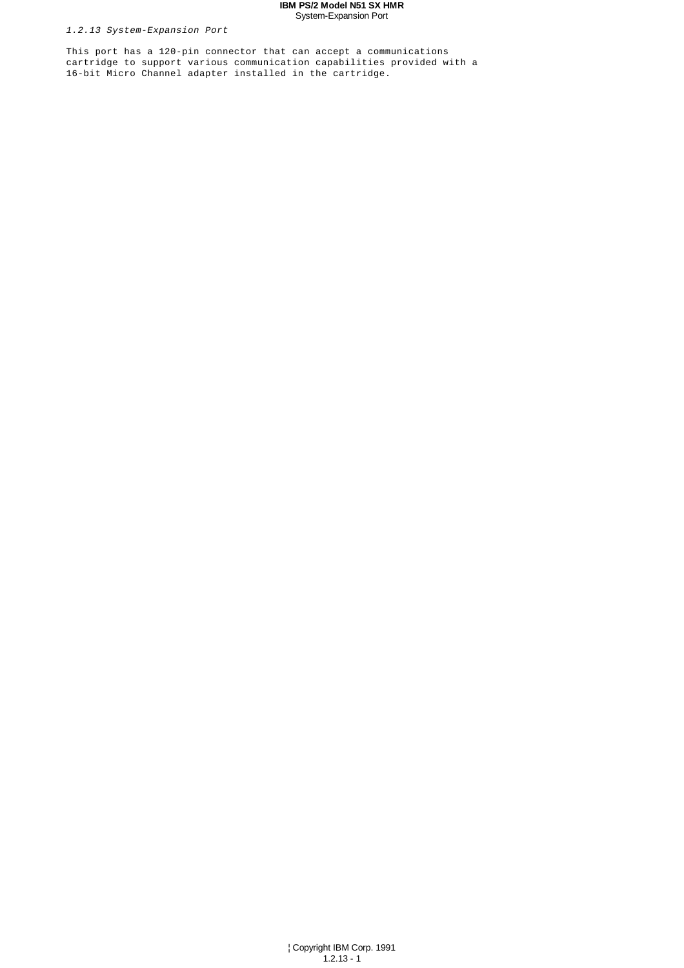## **IBM PS/2 Model N51 SX HMR** System-Expansion Port

1.2.13 System-Expansion Port

This port has a 120-pin connector that can accept a communications cartridge to support various communication capabilities provided with a 16-bit Micro Channel adapter installed in the cartridge.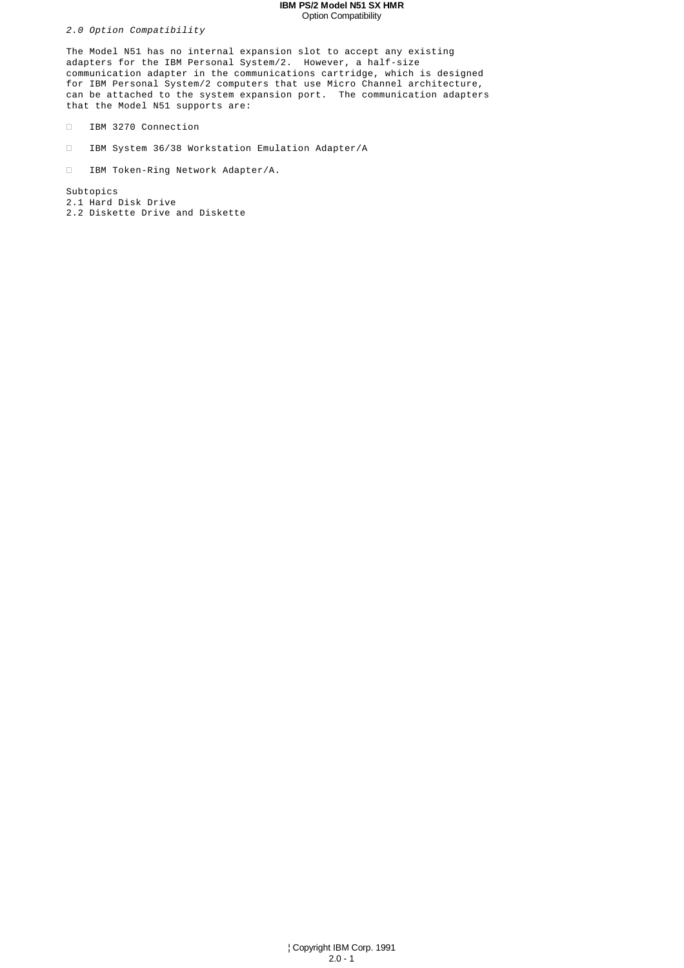## **IBM PS/2 Model N51 SX HMR** Option Compatibility

2.0 Option Compatibility

The Model N51 has no internal expansion slot to accept any existing adapters for the IBM Personal System/2. However, a half-size communication adapter in the communications cartridge, which is designed for IBM Personal System/2 computers that use Micro Channel architecture, can be attached to the system expansion port. The communication adapters that the Model N51 supports are:

IBM 3270 Connection

IBM System 36/38 Workstation Emulation Adapter/A

IBM Token-Ring Network Adapter/A.

Subtopics 2.1 Hard Disk Drive 2.2 Diskette Drive and Diskette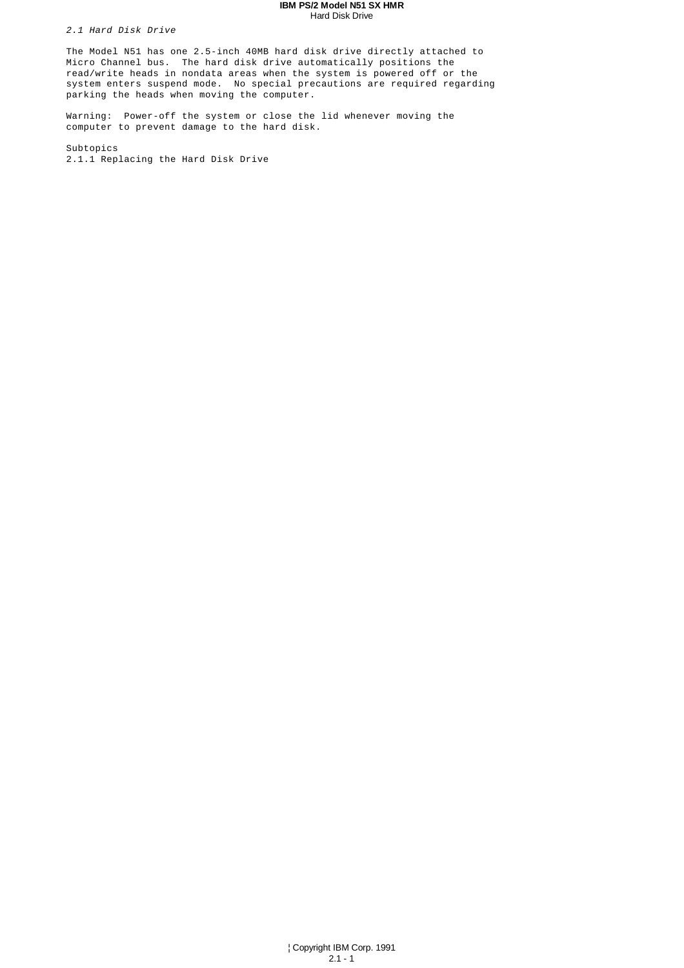#### **IBM PS/2 Model N51 SX HMR** Hard Disk Drive

2.1 Hard Disk Drive

The Model N51 has one 2.5-inch 40MB hard disk drive directly attached to Micro Channel bus. The hard disk drive automatically positions the read/write heads in nondata areas when the system is powered off or the system enters suspend mode. No special precautions are required regarding parking the heads when moving the computer.

Warning: Power-off the system or close the lid whenever moving the computer to prevent damage to the hard disk.

Subtopics 2.1.1 Replacing the Hard Disk Drive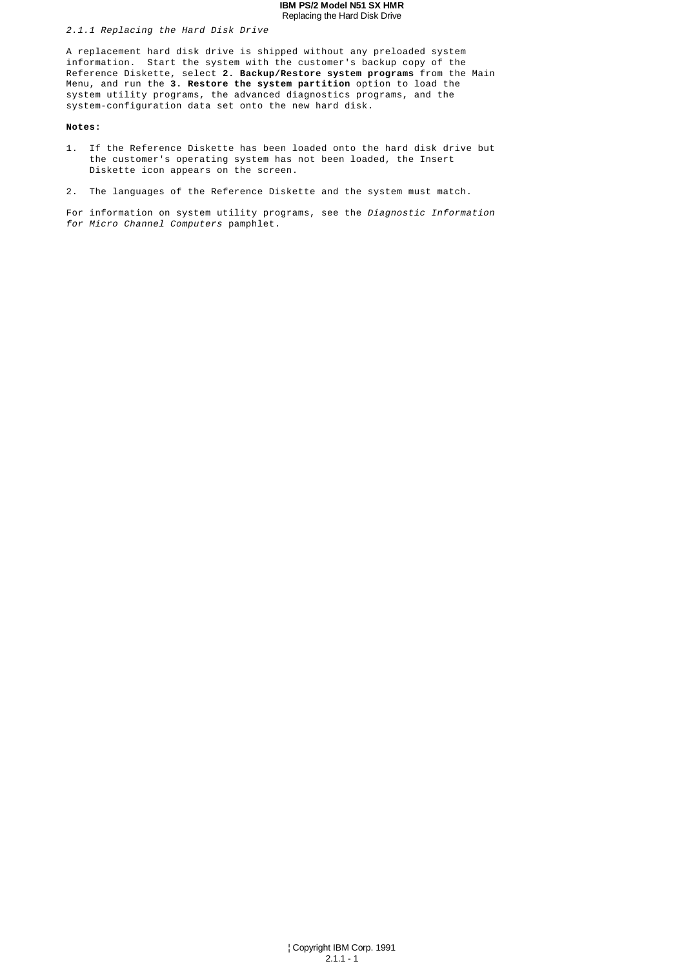#### **IBM PS/2 Model N51 SX HMR** Replacing the Hard Disk Drive

#### 2.1.1 Replacing the Hard Disk Drive

A replacement hard disk drive is shipped without any preloaded system information. Start the system with the customer's backup copy of the Reference Diskette, select **2. Backup/Restore system programs** from the Main Menu, and run the **3. Restore the system partition** option to load the system utility programs, the advanced diagnostics programs, and the system-configuration data set onto the new hard disk.

#### **Notes:**

- 1. If the Reference Diskette has been loaded onto the hard disk drive but the customer's operating system has not been loaded, the Insert Diskette icon appears on the screen.
- 2. The languages of the Reference Diskette and the system must match.

For information on system utility programs, see the Diagnostic Information for Micro Channel Computers pamphlet.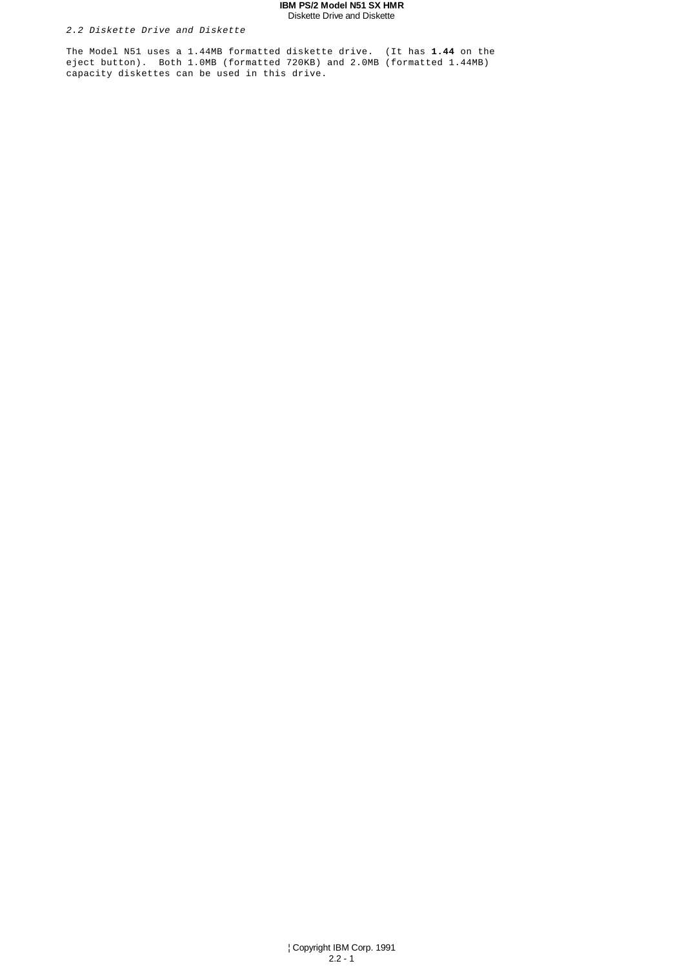## **IBM PS/2 Model N51 SX HMR** Diskette Drive and Diskette

# 2.2 Diskette Drive and Diskette

The Model N51 uses a 1.44MB formatted diskette drive. (It has **1.44** on the eject button). Both 1.0MB (formatted 720KB) and 2.0MB (formatted 1.44MB) capacity diskettes can be used in this drive.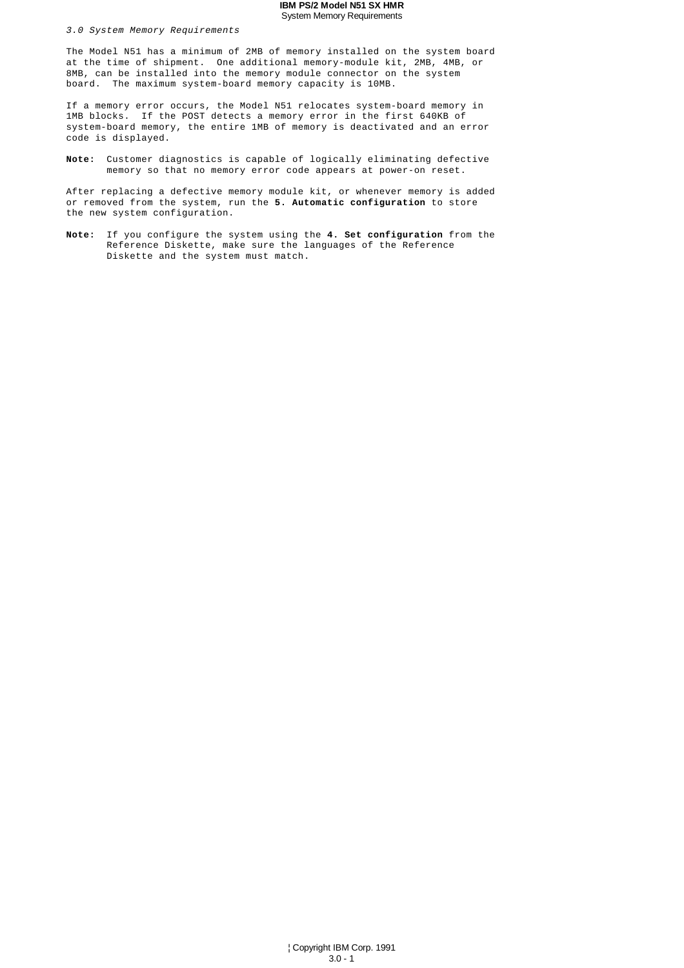#### **IBM PS/2 Model N51 SX HMR** System Memory Requirements

#### 3.0 System Memory Requirements

The Model N51 has a minimum of 2MB of memory installed on the system board at the time of shipment. One additional memory-module kit, 2MB, 4MB, or 8MB, can be installed into the memory module connector on the system board. The maximum system-board memory capacity is 10MB.

If a memory error occurs, the Model N51 relocates system-board memory in 1MB blocks. If the POST detects a memory error in the first 640KB of system-board memory, the entire 1MB of memory is deactivated and an error code is displayed.

**Note:** Customer diagnostics is capable of logically eliminating defective memory so that no memory error code appears at power-on reset.

After replacing a defective memory module kit, or whenever memory is added or removed from the system, run the **5. Automatic configuration** to store the new system configuration.

**Note:** If you configure the system using the **4. Set configuration** from the Reference Diskette, make sure the languages of the Reference Diskette and the system must match.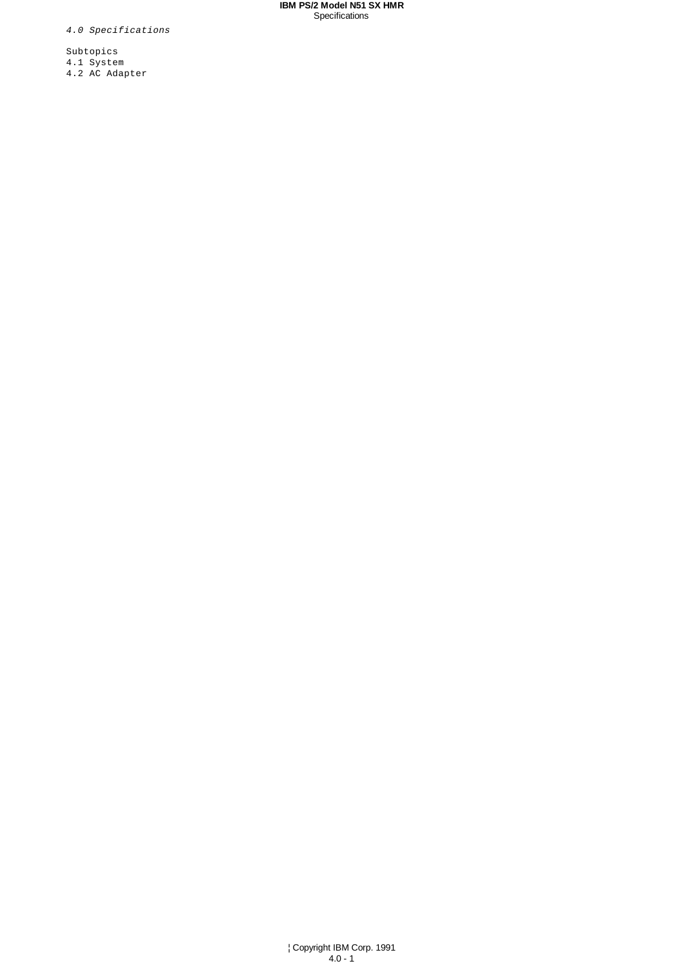**IBM PS/2 Model N51 SX HMR** Specifications

4.0 Specifications

Subtopics 4.1 System 4.2 AC Adapter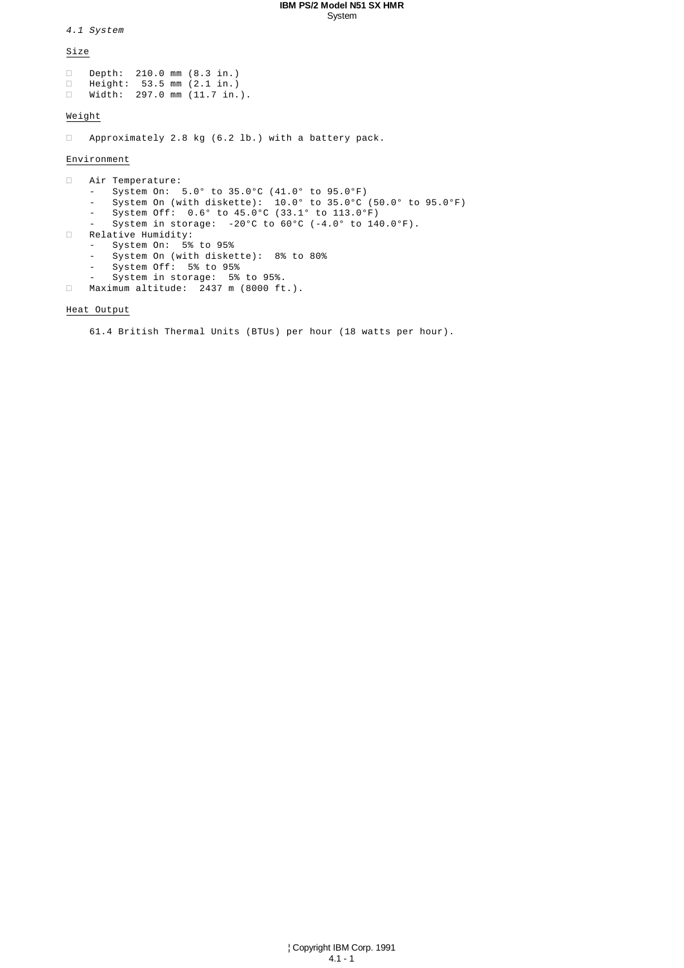#### **IBM PS/2 Model N51 SX HMR** System

4.1 System

Size

 Depth: 210.0 mm (8.3 in.) Height: 53.5 mm (2.1 in.) Width: 297.0 mm (11.7 in.).

# Weight

Approximately 2.8 kg (6.2 lb.) with a battery pack.

# Environment

 Air Temperature: - System On: 5.0° to 35.0°C (41.0° to 95.0°F) - System On (with diskette): 10.0° to 35.0°C (50.0° to 95.0°F) - System Off: 0.6° to 45.0°C (33.1° to 113.0°F) - System in storage:  $-20^{\circ}$ C to  $60^{\circ}$ C ( $-4.0^{\circ}$  to  $140.0^{\circ}$ F). Relative Humidity: System On: 5% to 95% - System On (with diskette): 8% to 80% - System Off: 5% to 95% - System in storage: 5% to 95%. Maximum altitude: 2437 m (8000 ft.).

# Heat Output

61.4 British Thermal Units (BTUs) per hour (18 watts per hour).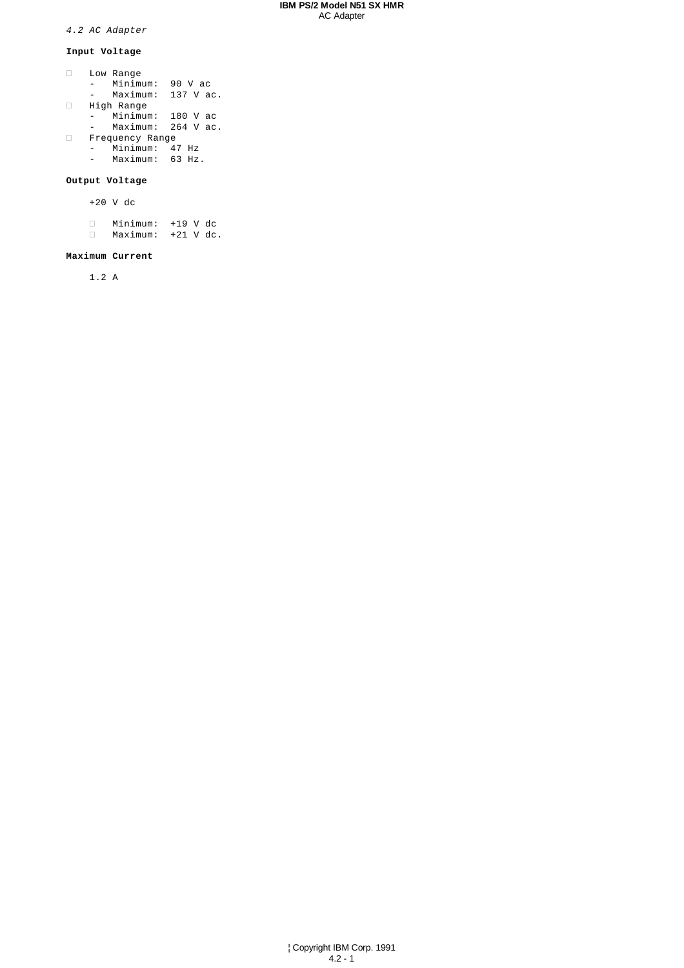## **IBM PS/2 Model N51 SX HMR** AC Adapter

4.2 AC Adapter

# **Input Voltage**

 Low Range - Minimum: 90 V ac - Maximum: 137 V ac. High Range - Minimum: 180 V ac - Maximum: 264 V ac. Frequency Range - Minimum: 47 Hz - Maximum: 63 Hz.

# **Output Voltage**

+20 V dc

 Minimum: +19 V dc Maximum: +21 V dc.

# **Maximum Current**

1.2 A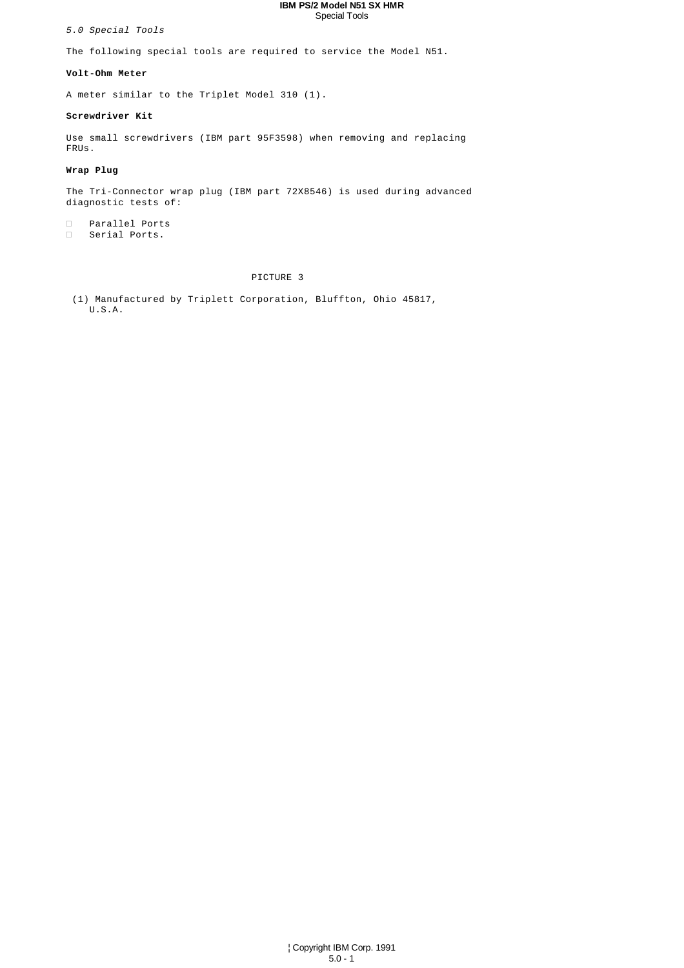#### **IBM PS/2 Model N51 SX HMR** Special Tools

5.0 Special Tools

The following special tools are required to service the Model N51.

## **Volt-Ohm Meter**

A meter similar to the Triplet Model 310 (1).

#### **Screwdriver Kit**

Use small screwdrivers (IBM part 95F3598) when removing and replacing FRUs.

# **Wrap Plug**

The Tri-Connector wrap plug (IBM part 72X8546) is used during advanced diagnostic tests of:

 Parallel Ports Serial Ports.

# PICTURE 3

 (1) Manufactured by Triplett Corporation, Bluffton, Ohio 45817, U.S.A.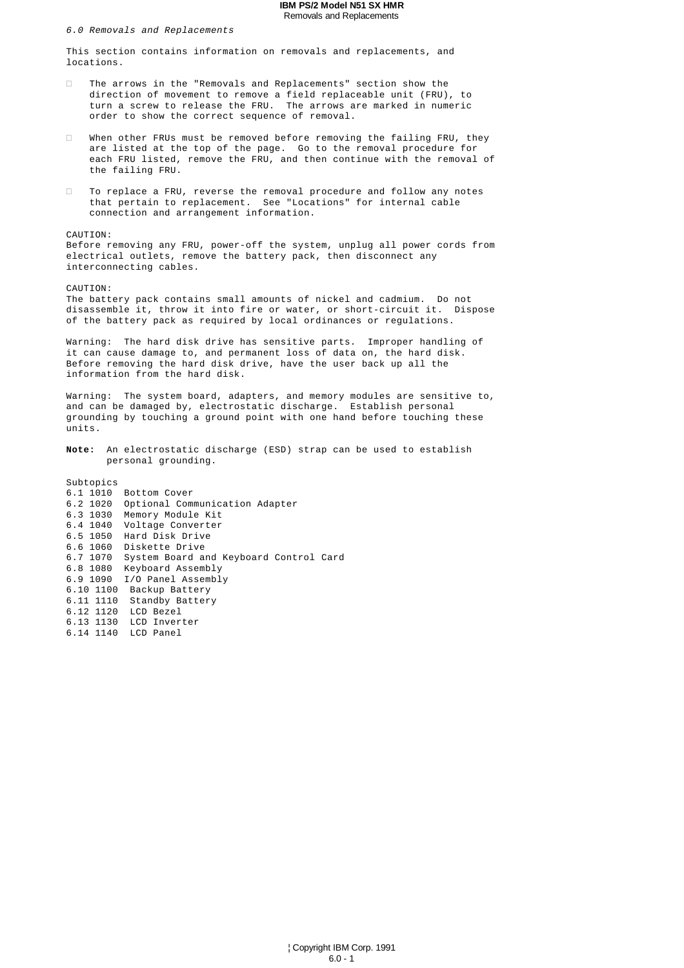#### **IBM PS/2 Model N51 SX HMR** Removals and Replacements

6.0 Removals and Replacements

This section contains information on removals and replacements, and locations.

 The arrows in the "Removals and Replacements" section show the direction of movement to remove a field replaceable unit (FRU), to turn a screw to release the FRU. The arrows are marked in numeric order to show the correct sequence of removal.

 When other FRUs must be removed before removing the failing FRU, they are listed at the top of the page. Go to the removal procedure for each FRU listed, remove the FRU, and then continue with the removal of the failing FRU.

 To replace a FRU, reverse the removal procedure and follow any notes that pertain to replacement. See "Locations" for internal cable connection and arrangement information.

## CAUTION:

Before removing any FRU, power-off the system, unplug all power cords from electrical outlets, remove the battery pack, then disconnect any interconnecting cables.

CAUTION:

The battery pack contains small amounts of nickel and cadmium. Do not disassemble it, throw it into fire or water, or short-circuit it. Dispose of the battery pack as required by local ordinances or regulations.

Warning: The hard disk drive has sensitive parts. Improper handling of it can cause damage to, and permanent loss of data on, the hard disk. Before removing the hard disk drive, have the user back up all the information from the hard disk.

Warning: The system board, adapters, and memory modules are sensitive to, and can be damaged by, electrostatic discharge. Establish personal grounding by touching a ground point with one hand before touching these units.

**Note:** An electrostatic discharge (ESD) strap can be used to establish personal grounding.

Subtopics 6.1 1010 Bottom Cover 6.2 1020 Optional Communication Adapter 6.3 1030 Memory Module Kit 6.4 1040 Voltage Converter 6.5 1050 Hard Disk Drive 6.6 1060 Diskette Drive 6.7 1070 System Board and Keyboard Control Card 6.8 1080 Keyboard Assembly 6.9 1090 I/O Panel Assembly 6.10 1100 Backup Battery 6.11 1110 Standby Battery 6.12 1120 LCD Bezel 6.13 1130 LCD Inverter 6.14 1140 LCD Panel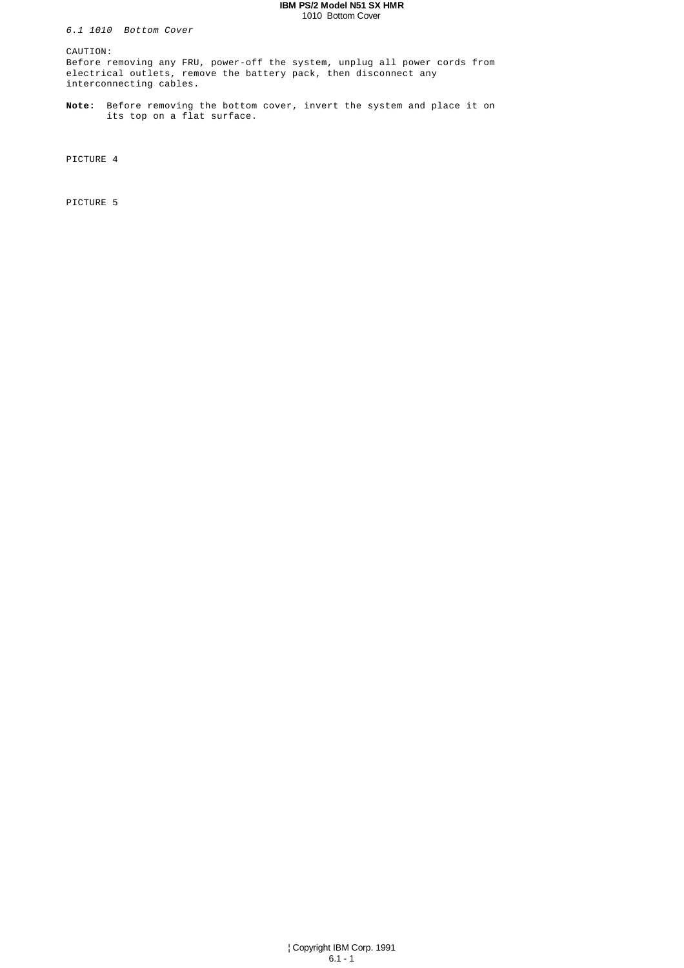#### **IBM PS/2 Model N51 SX HMR** 1010 Bottom Cover

6.1 1010 Bottom Cover

CAUTION:

Before removing any FRU, power-off the system, unplug all power cords from electrical outlets, remove the battery pack, then disconnect any interconnecting cables.

**Note:** Before removing the bottom cover, invert the system and place it on its top on a flat surface.

PICTURE 4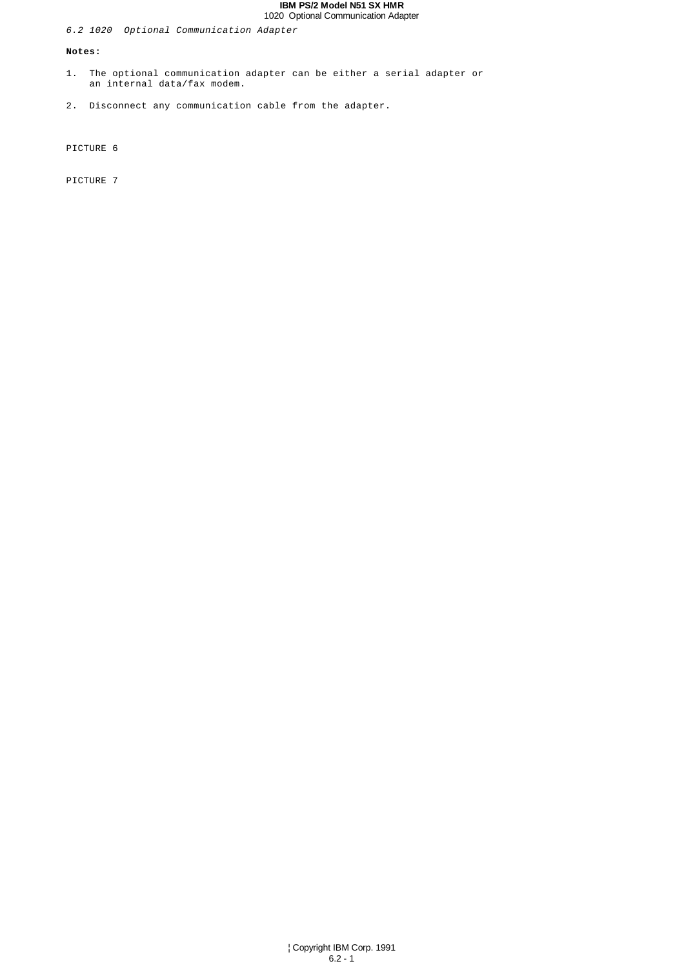## **IBM PS/2 Model N51 SX HMR** 1020 Optional Communication Adapter

# 6.2 1020 Optional Communication Adapter

#### **Notes:**

- 1. The optional communication adapter can be either a serial adapter or an internal data/fax modem.
- 2. Disconnect any communication cable from the adapter.

PICTURE 6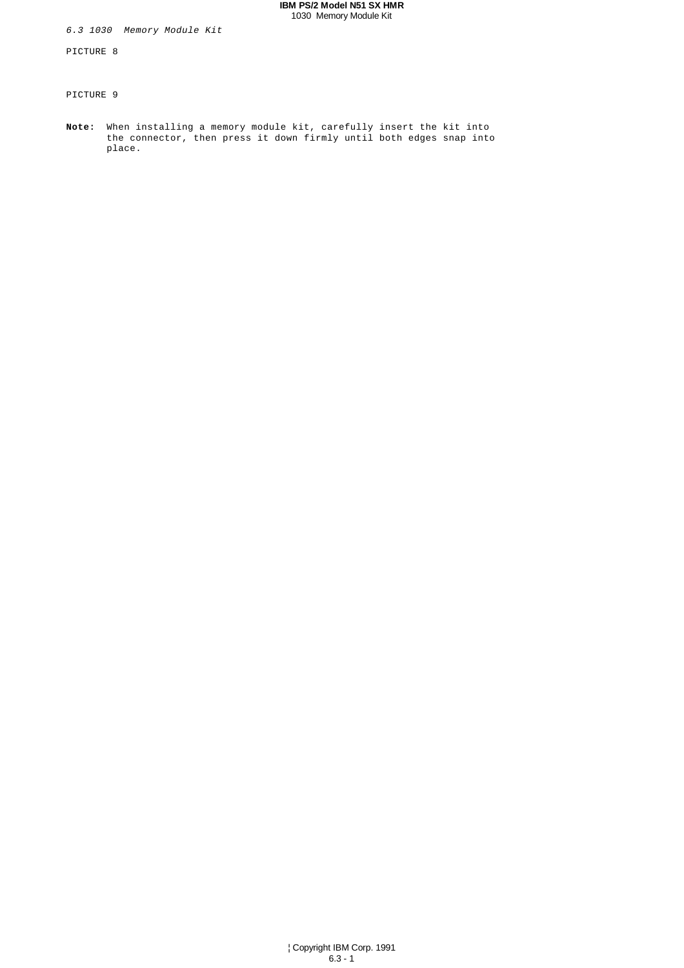## **IBM PS/2 Model N51 SX HMR** 1030 Memory Module Kit

6.3 1030 Memory Module Kit

PICTURE 8

PICTURE 9

**Note:** When installing a memory module kit, carefully insert the kit into the connector, then press it down firmly until both edges snap into place.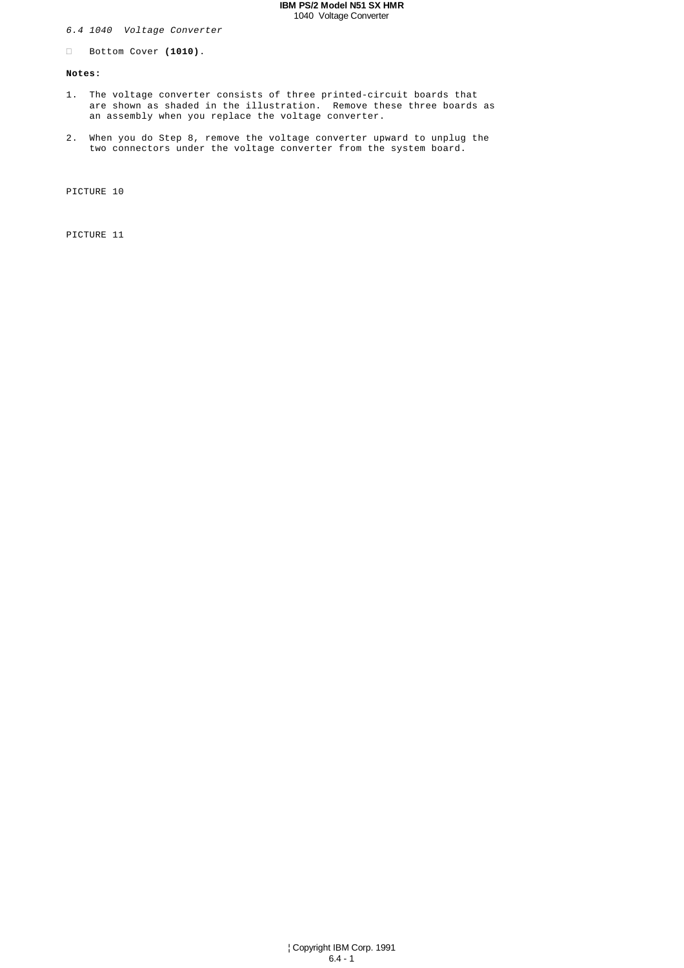## **IBM PS/2 Model N51 SX HMR** 1040 Voltage Converter

# 6.4 1040 Voltage Converter

Bottom Cover **(1010)**.

#### **Notes:**

- 1. The voltage converter consists of three printed-circuit boards that are shown as shaded in the illustration. Remove these three boards as an assembly when you replace the voltage converter.
- 2. When you do Step 8, remove the voltage converter upward to unplug the two connectors under the voltage converter from the system board.

PICTURE 10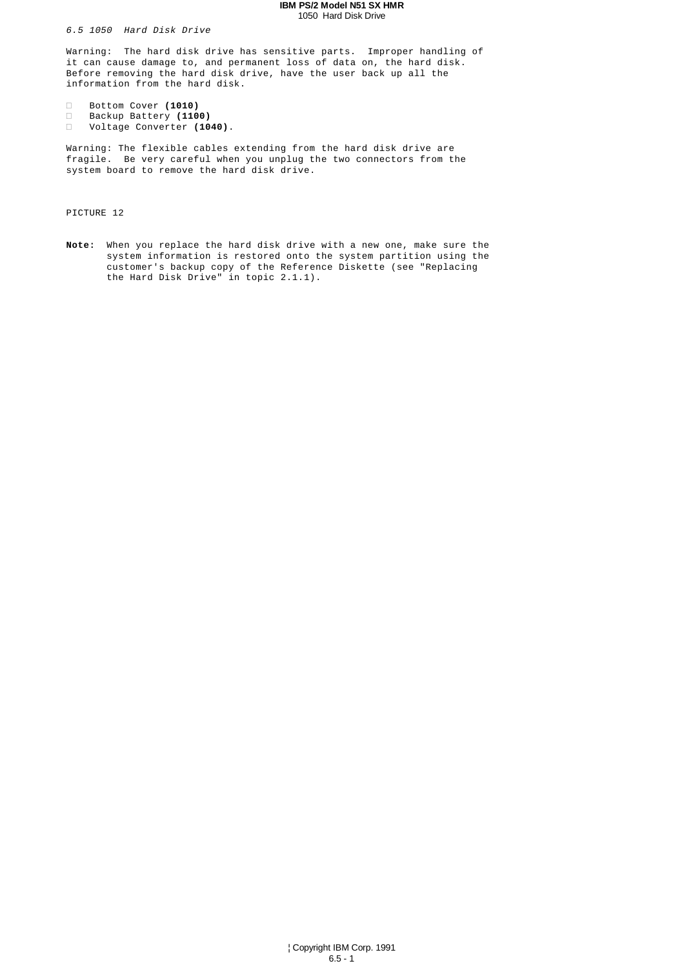#### **IBM PS/2 Model N51 SX HMR** 1050 Hard Disk Drive

6.5 1050 Hard Disk Drive

Warning: The hard disk drive has sensitive parts. Improper handling of it can cause damage to, and permanent loss of data on, the hard disk. Before removing the hard disk drive, have the user back up all the information from the hard disk.

 Bottom Cover **(1010)** Backup Battery **(1100)** Voltage Converter **(1040)**.

Warning: The flexible cables extending from the hard disk drive are fragile. Be very careful when you unplug the two connectors from the system board to remove the hard disk drive.

PICTURE 12

**Note:** When you replace the hard disk drive with a new one, make sure the system information is restored onto the system partition using the customer's backup copy of the Reference Diskette (see "Replacing the Hard Disk Drive" in topic 2.1.1).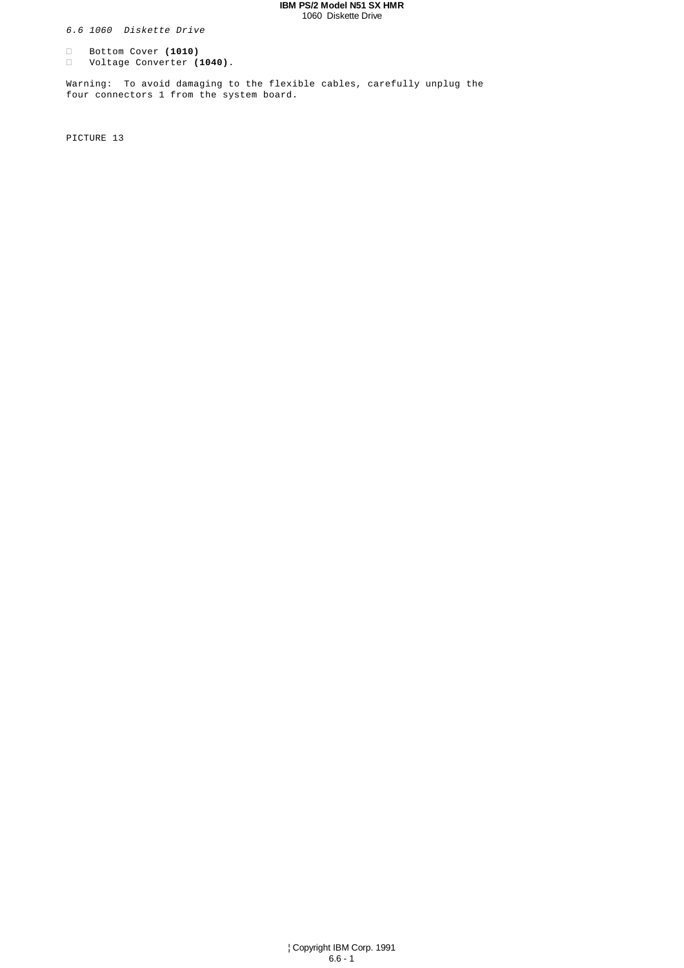#### **IBM PS/2 Model N51 SX HMR** 1060 Diskette Drive

6.6 1060 Diskette Drive

 Bottom Cover **(1010)** Voltage Converter **(1040)**.

Warning: To avoid damaging to the flexible cables, carefully unplug the four connectors 1 from the system board.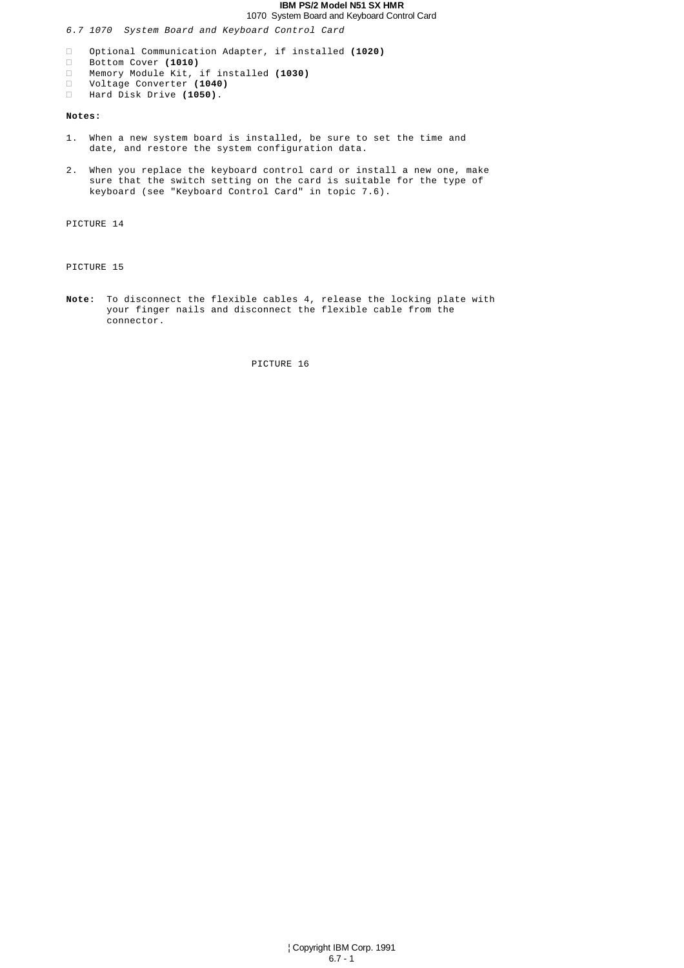# **IBM PS/2 Model N51 SX HMR**

1070 System Board and Keyboard Control Card

6.7 1070 System Board and Keyboard Control Card

 Optional Communication Adapter, if installed **(1020)** Bottom Cover **(1010)** Memory Module Kit, if installed **(1030)** Voltage Converter **(1040)** Hard Disk Drive **(1050)**.

# **Notes:**

- 1. When a new system board is installed, be sure to set the time and date, and restore the system configuration data.
- 2. When you replace the keyboard control card or install a new one, make sure that the switch setting on the card is suitable for the type of keyboard (see "Keyboard Control Card" in topic 7.6).

PICTURE 14

PICTURE 15

**Note:** To disconnect the flexible cables 4, release the locking plate with your finger nails and disconnect the flexible cable from the connector.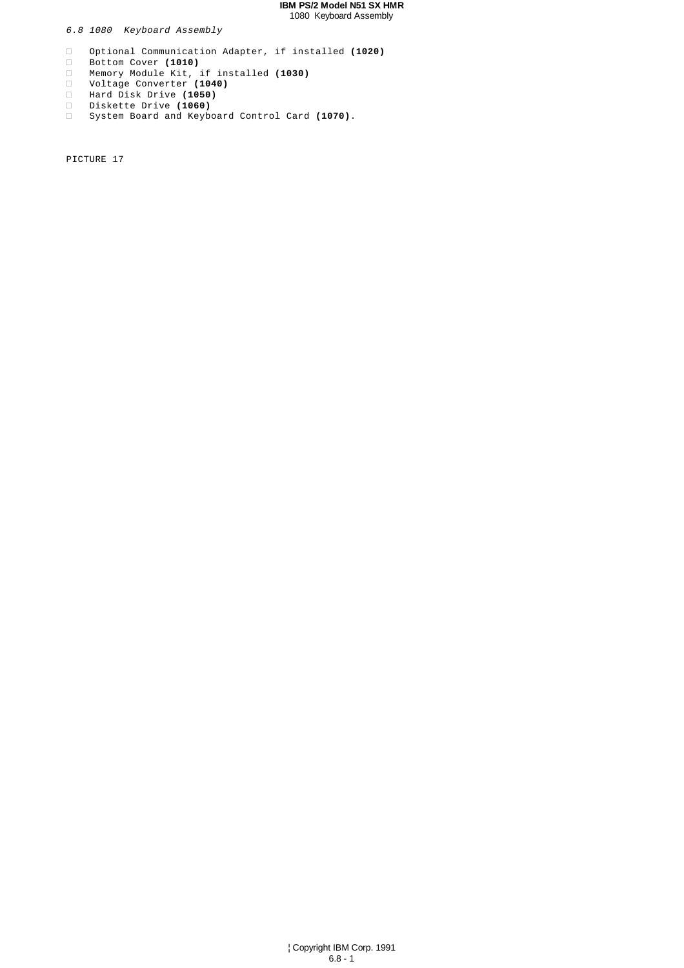## **IBM PS/2 Model N51 SX HMR** 1080 Keyboard Assembly

6.8 1080 Keyboard Assembly

 Optional Communication Adapter, if installed **(1020)** Bottom Cover **(1010)** Memory Module Kit, if installed **(1030)** Voltage Converter **(1040)** Hard Disk Drive **(1050)** Diskette Drive **(1060)** System Board and Keyboard Control Card **(1070)**.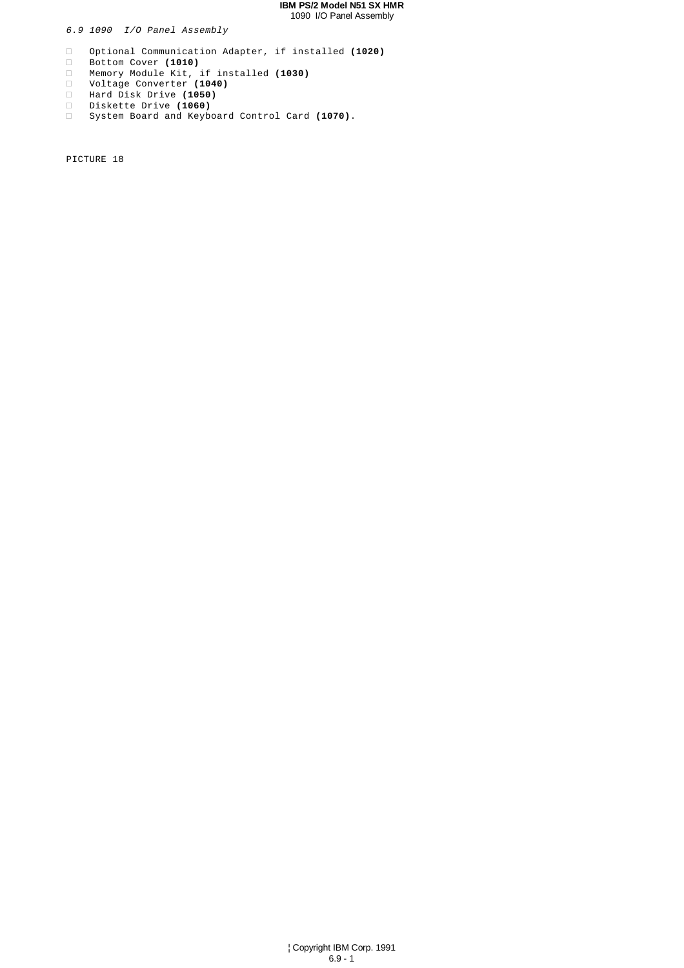## **IBM PS/2 Model N51 SX HMR** 1090 I/O Panel Assembly

6.9 1090 I/O Panel Assembly

 Optional Communication Adapter, if installed **(1020)** Bottom Cover **(1010)** Memory Module Kit, if installed **(1030)** Voltage Converter **(1040)** Hard Disk Drive **(1050)** Diskette Drive **(1060)** System Board and Keyboard Control Card **(1070)**.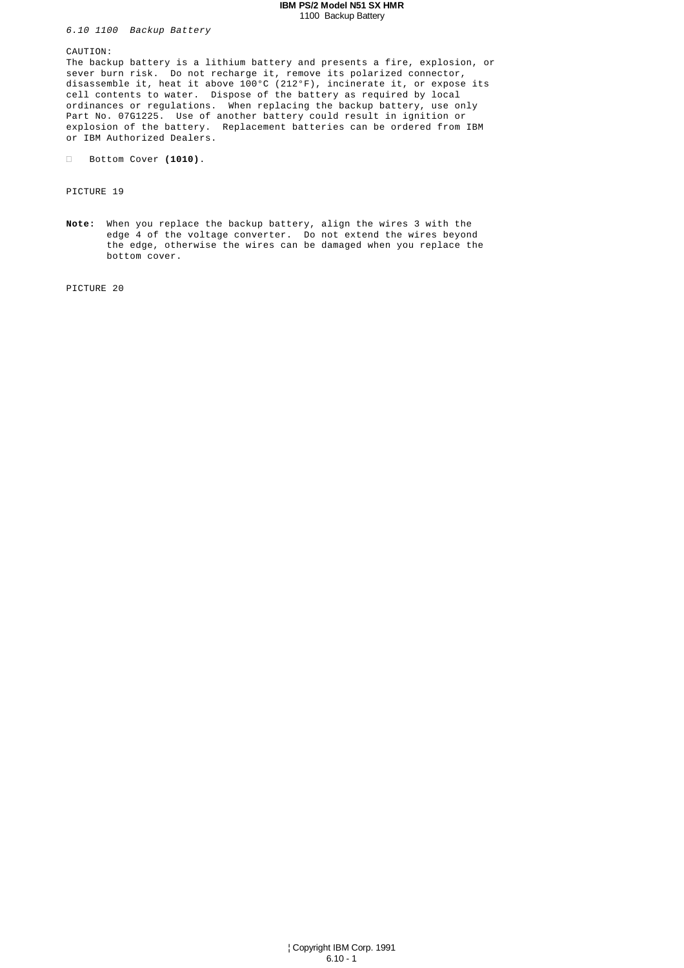#### **IBM PS/2 Model N51 SX HMR** 1100 Backup Battery

6.10 1100 Backup Battery

CAUTION:

The backup battery is a lithium battery and presents a fire, explosion, or sever burn risk. Do not recharge it, remove its polarized connector, disassemble it, heat it above 100°C (212°F), incinerate it, or expose its cell contents to water. Dispose of the battery as required by local ordinances or regulations. When replacing the backup battery, use only Part No. 07G1225. Use of another battery could result in ignition or explosion of the battery. Replacement batteries can be ordered from IBM or IBM Authorized Dealers.

Bottom Cover **(1010)**.

PICTURE 19

**Note:** When you replace the backup battery, align the wires 3 with the edge 4 of the voltage converter. Do not extend the wires beyond the edge, otherwise the wires can be damaged when you replace the bottom cover.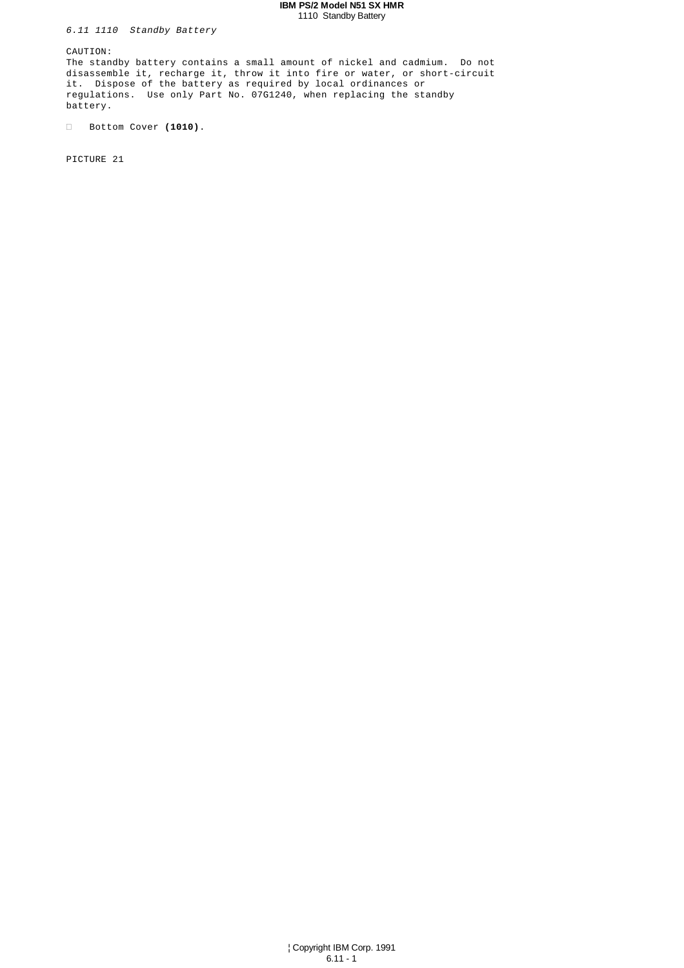## **IBM PS/2 Model N51 SX HMR** 1110 Standby Battery

6.11 1110 Standby Battery

CAUTION:

The standby battery contains a small amount of nickel and cadmium. Do not disassemble it, recharge it, throw it into fire or water, or short-circuit it. Dispose of the battery as required by local ordinances or regulations. Use only Part No. 07G1240, when replacing the standby battery.

Bottom Cover **(1010)**.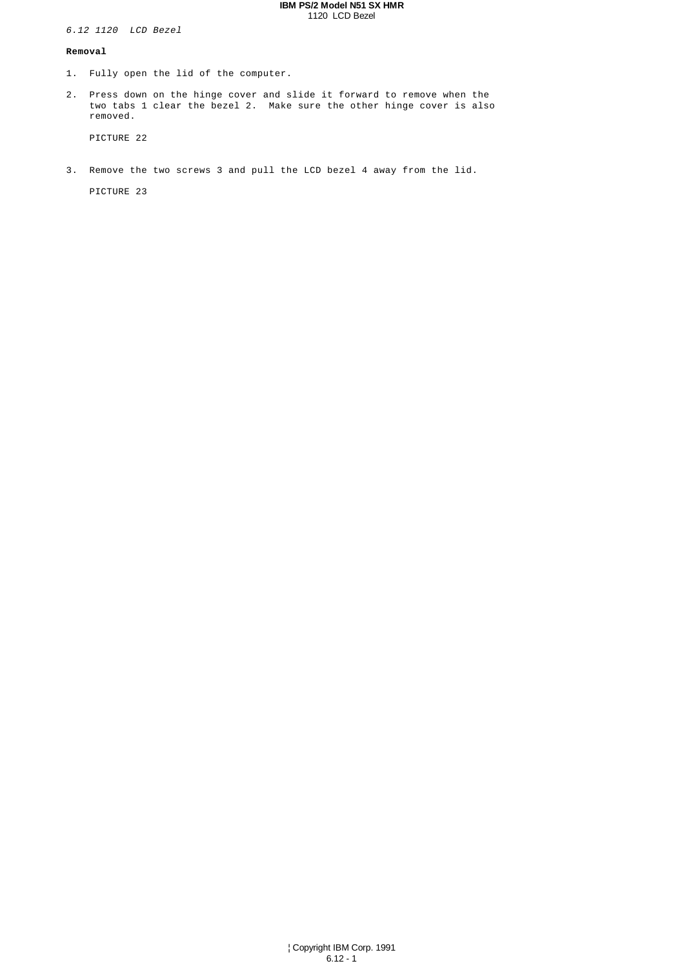#### **IBM PS/2 Model N51 SX HMR** 1120 LCD Bezel

6.12 1120 LCD Bezel

## **Removal**

- 1. Fully open the lid of the computer.
- 2. Press down on the hinge cover and slide it forward to remove when the two tabs 1 clear the bezel 2. Make sure the other hinge cover is also removed.

PICTURE 22

3. Remove the two screws 3 and pull the LCD bezel 4 away from the lid.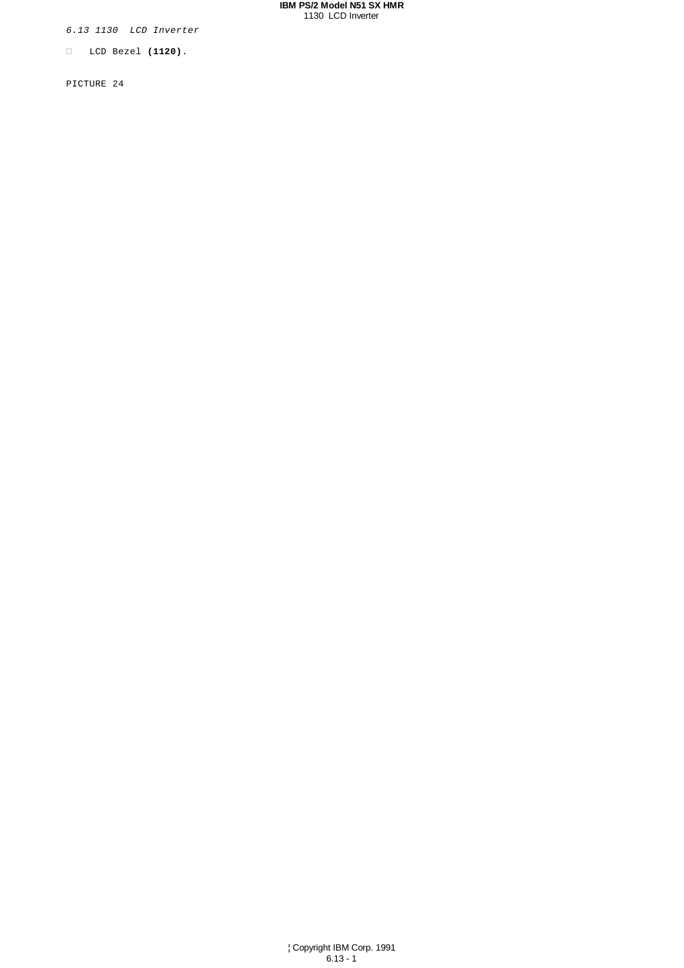#### **IBM PS/2 Model N51 SX HMR** 1130 LCD Inverter

6.13 1130 LCD Inverter

LCD Bezel **(1120)**.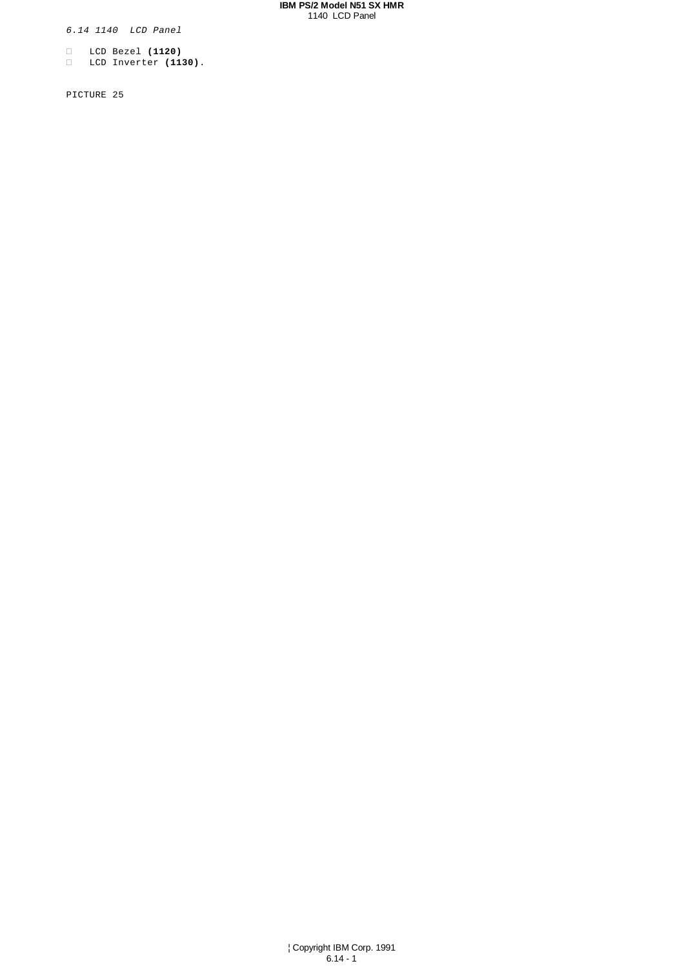#### **IBM PS/2 Model N51 SX HMR** 1140 LCD Panel

6.14 1140 LCD Panel

 LCD Bezel **(1120)** LCD Inverter **(1130)**.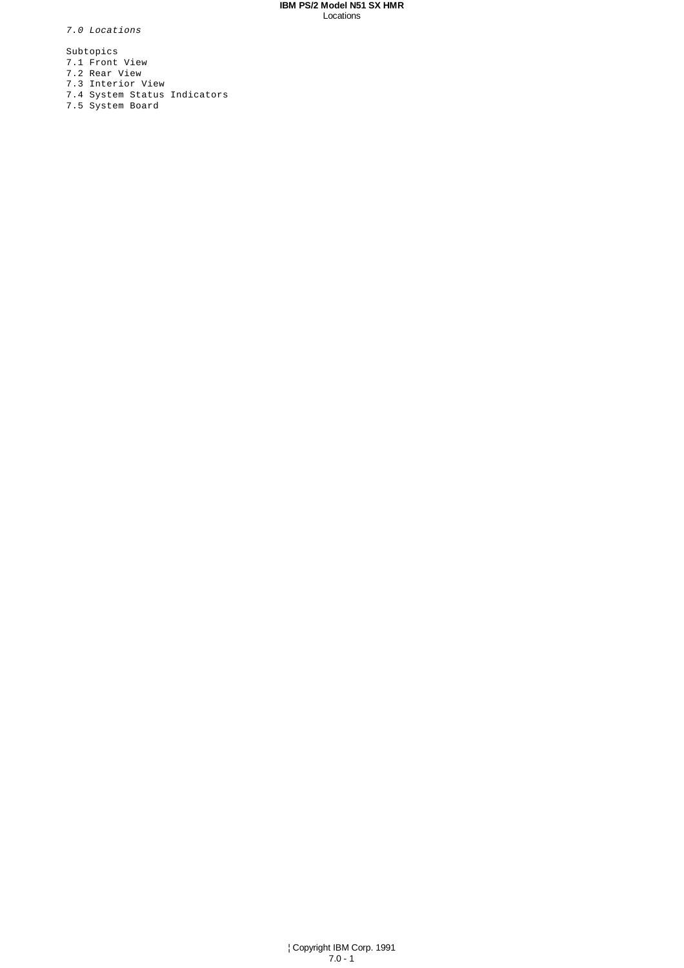## **IBM PS/2 Model N51 SX HMR** Locations

7.0 Locations

Subtopics

- 7.1 Front View
- 7.2 Rear View
- 7.3 Interior View
- 7.4 System Status Indicators
- 7.5 System Board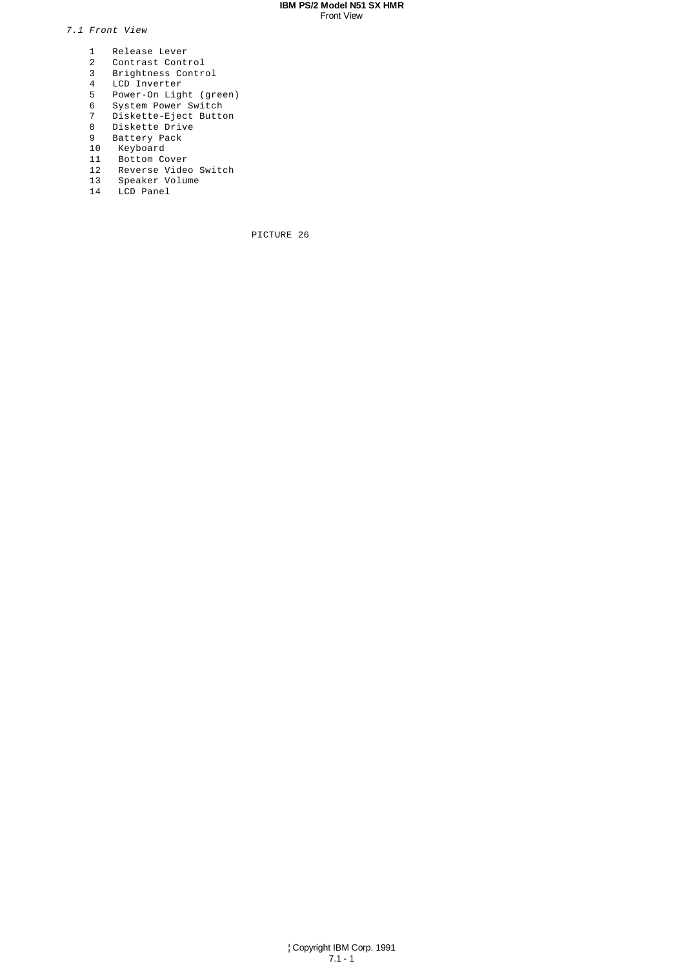#### **IBM PS/2 Model N51 SX HMR** Front View

7.1 Front View

- 1 Release Lever
- 2 Contrast Control
- 3 Brightness Control
- 4 LCD Inverter
- 5 Power-On Light (green)
- 6 System Power Switch
- 7 Diskette-Eject Button
- 8 Diskette Drive
- 9 Battery Pack
- 10 Keyboard
- 11 Bottom Cover
- 12 Reverse Video Switch
- 13 Speaker Volume
- 14 LCD Panel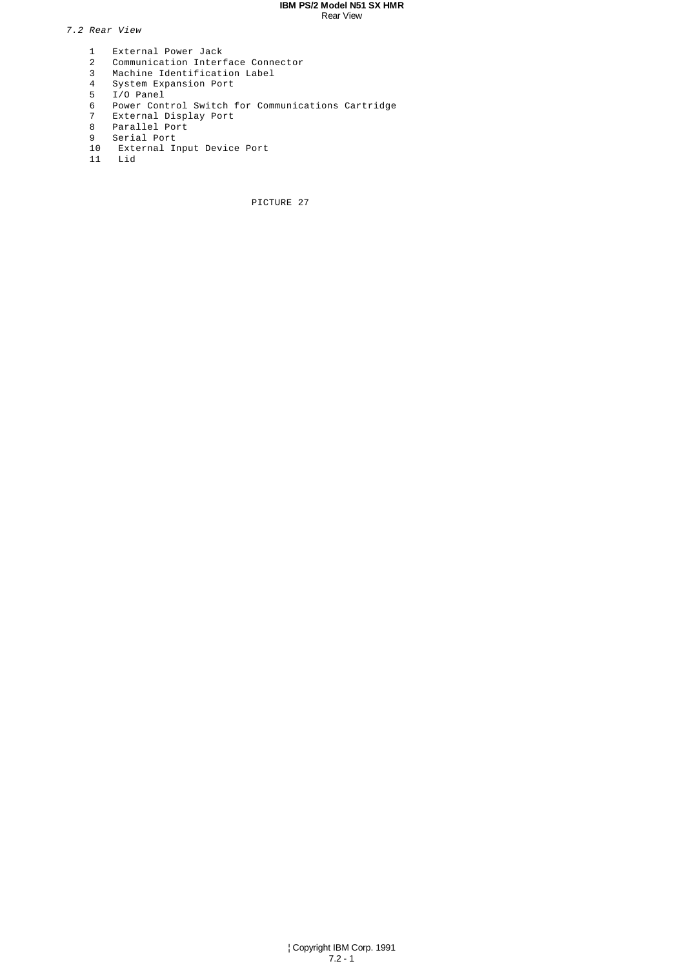#### **IBM PS/2 Model N51 SX HMR** Rear View

7.2 Rear View

- 1 External Power Jack<br>2 Communication Inter
- 2 Communication Interface Connector
- 3 Machine Identification Label
- 4 System Expansion Port
- 5 I/O Panel
	- 6 Power Control Switch for Communications Cartridge
	- External Display Port
	- 8 Parallel Port
	- 9 Serial Port<br>10 External I
- 10 External Input Device Port
- 11 Lid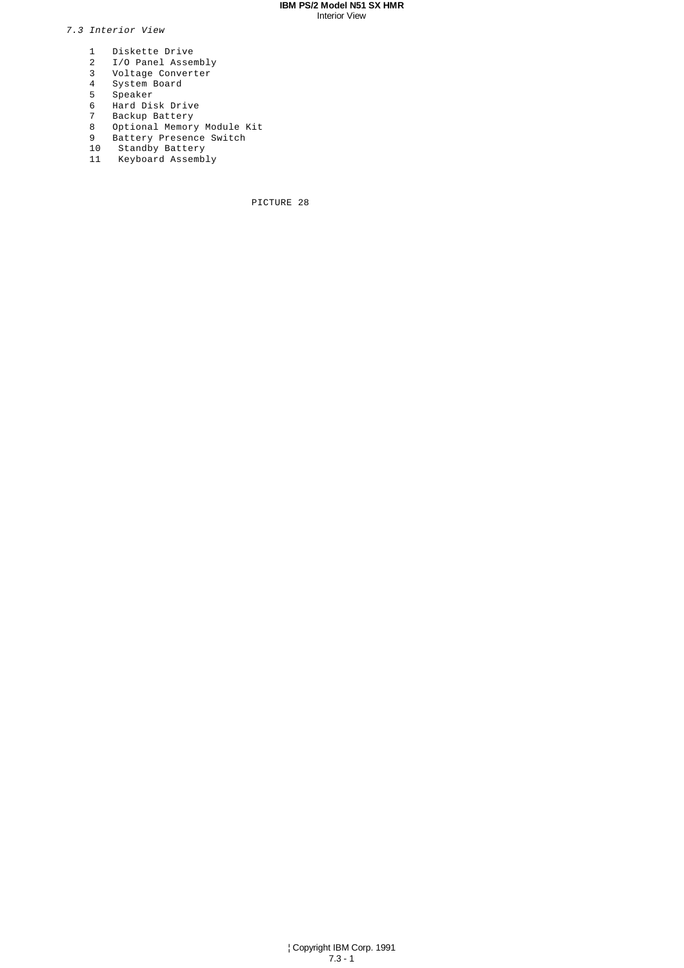#### **IBM PS/2 Model N51 SX HMR** Interior View

# 7.3 Interior View

- 1 Diskette Drive<br>2 I/O Panel Asser
- 2 I/O Panel Assembly
- 3 Voltage Converter
- 4 System Board
- 5 Speaker
	- 6 Hard Disk Drive<br>7 Backup Battery
- 7 Backup Battery
- 8 Optional Memory Module Kit
- 9 Battery Presence Switch
- 10 Standby Battery
- 11 Keyboard Assembly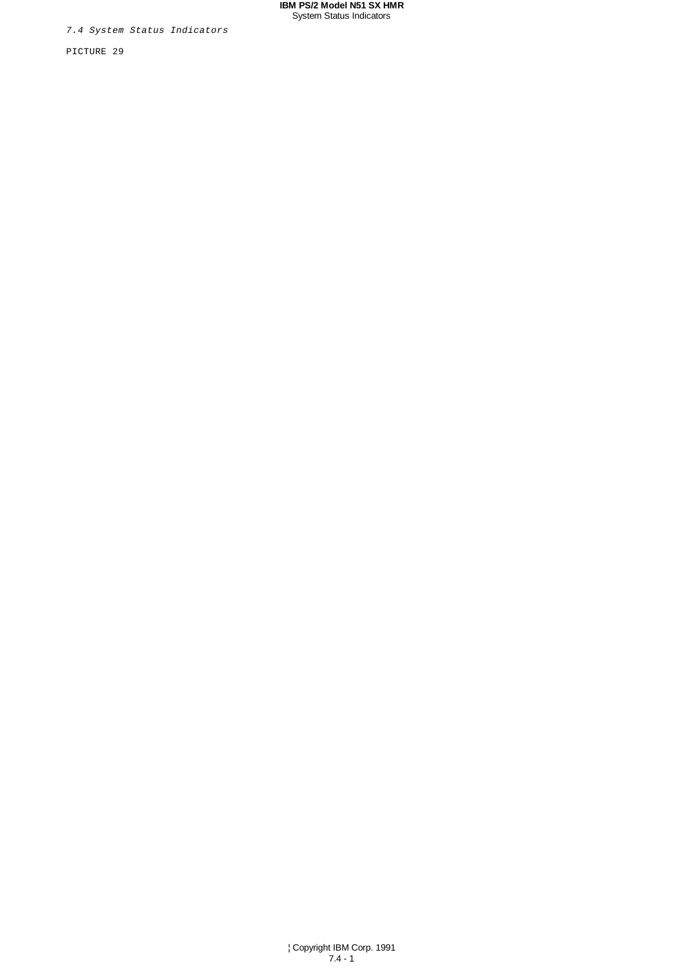#### **IBM PS/2 Model N51 SX HMR** System Status Indicators

7.4 System Status Indicators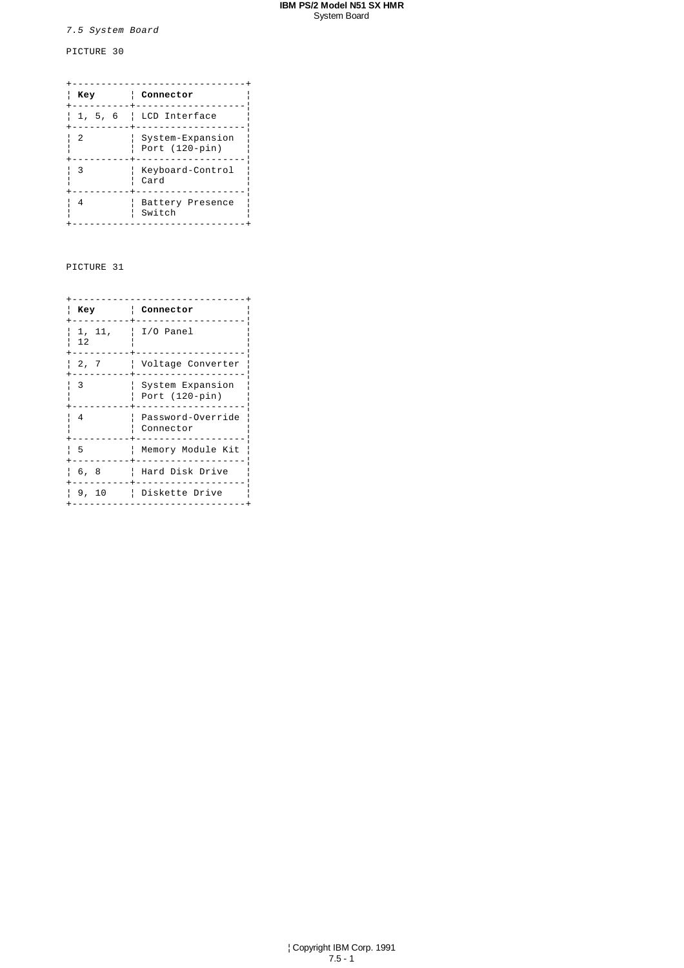#### **IBM PS/2 Model N51 SX HMR** System Board

# 7.5 System Board

# PICTURE 30

| Key     | Connector                            |
|---------|--------------------------------------|
|         |                                      |
| 1, 5, 6 | LCD Interface<br>ł.                  |
| 2       | System-Expansion<br>Port $(120-pin)$ |
| 3       | Keyboard-Control<br>Card             |
| 4       | Battery Presence<br>Switch           |

| Key          | Connector                            |
|--------------|--------------------------------------|
| 1, 11,<br>12 | I/O Panel                            |
| 2, 7         | Voltage Converter                    |
| 3            | System Expansion<br>Port $(120-pin)$ |
| 4            | Password-Override<br>Connector       |
| -5           | Memory Module Kit                    |
| 6, 8         | Hard Disk Drive                      |
| 9, 10        | Diskette Drive                       |
|              |                                      |